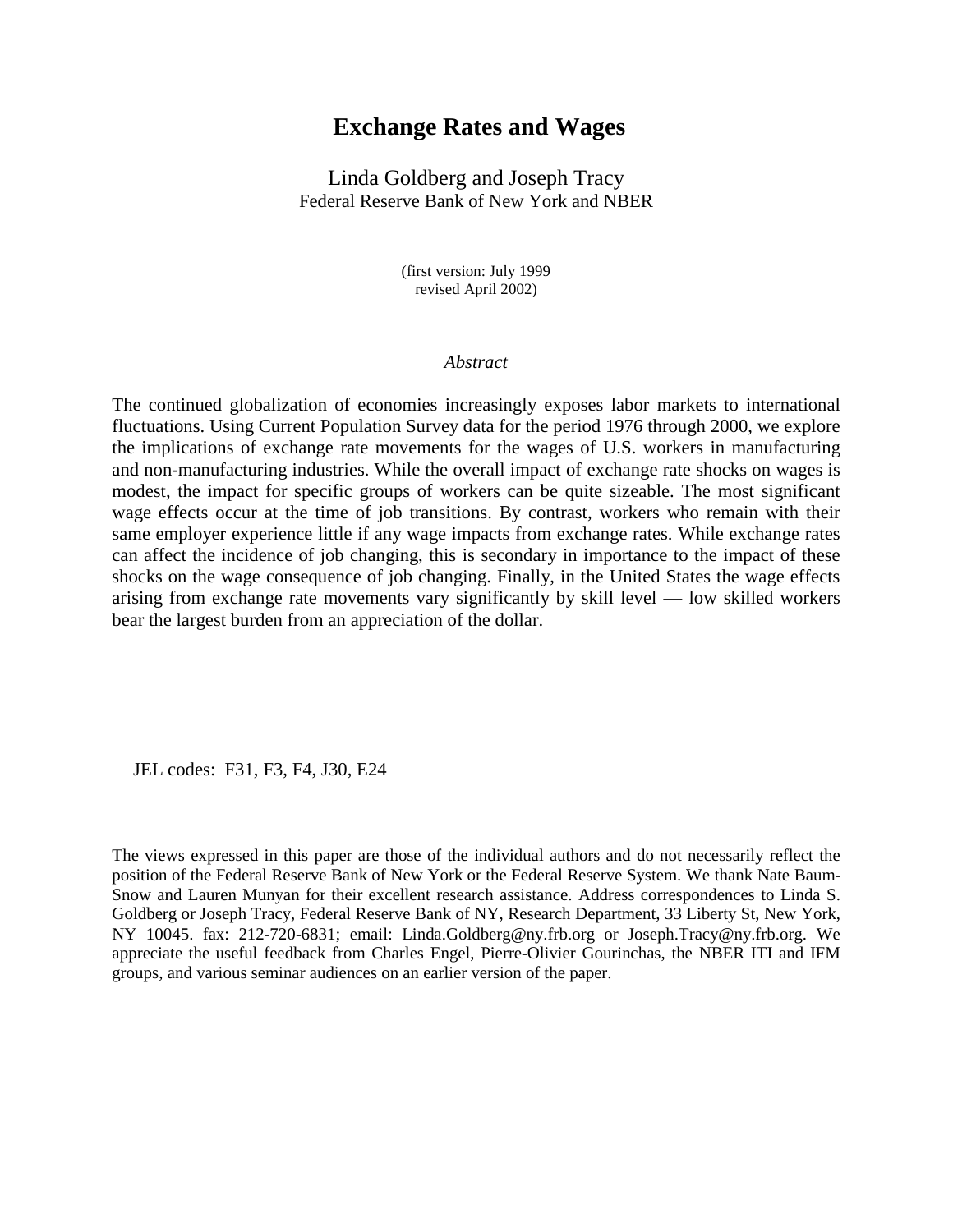# **Exchange Rates and Wages**

Linda Goldberg and Joseph Tracy Federal Reserve Bank of New York and NBER

> (first version: July 1999 revised April 2002)

### *Abstract*

The continued globalization of economies increasingly exposes labor markets to international fluctuations. Using Current Population Survey data for the period 1976 through 2000, we explore the implications of exchange rate movements for the wages of U.S. workers in manufacturing and non-manufacturing industries. While the overall impact of exchange rate shocks on wages is modest, the impact for specific groups of workers can be quite sizeable. The most significant wage effects occur at the time of job transitions. By contrast, workers who remain with their same employer experience little if any wage impacts from exchange rates. While exchange rates can affect the incidence of job changing, this is secondary in importance to the impact of these shocks on the wage consequence of job changing. Finally, in the United States the wage effects arising from exchange rate movements vary significantly by skill level — low skilled workers bear the largest burden from an appreciation of the dollar.

JEL codes: F31, F3, F4, J30, E24

The views expressed in this paper are those of the individual authors and do not necessarily reflect the position of the Federal Reserve Bank of New York or the Federal Reserve System. We thank Nate Baum-Snow and Lauren Munyan for their excellent research assistance. Address correspondences to Linda S. Goldberg or Joseph Tracy, Federal Reserve Bank of NY, Research Department, 33 Liberty St, New York, NY 10045. fax: 212-720-6831; email: Linda.Goldberg@ny.frb.org or Joseph.Tracy@ny.frb.org. We appreciate the useful feedback from Charles Engel, Pierre-Olivier Gourinchas, the NBER ITI and IFM groups, and various seminar audiences on an earlier version of the paper.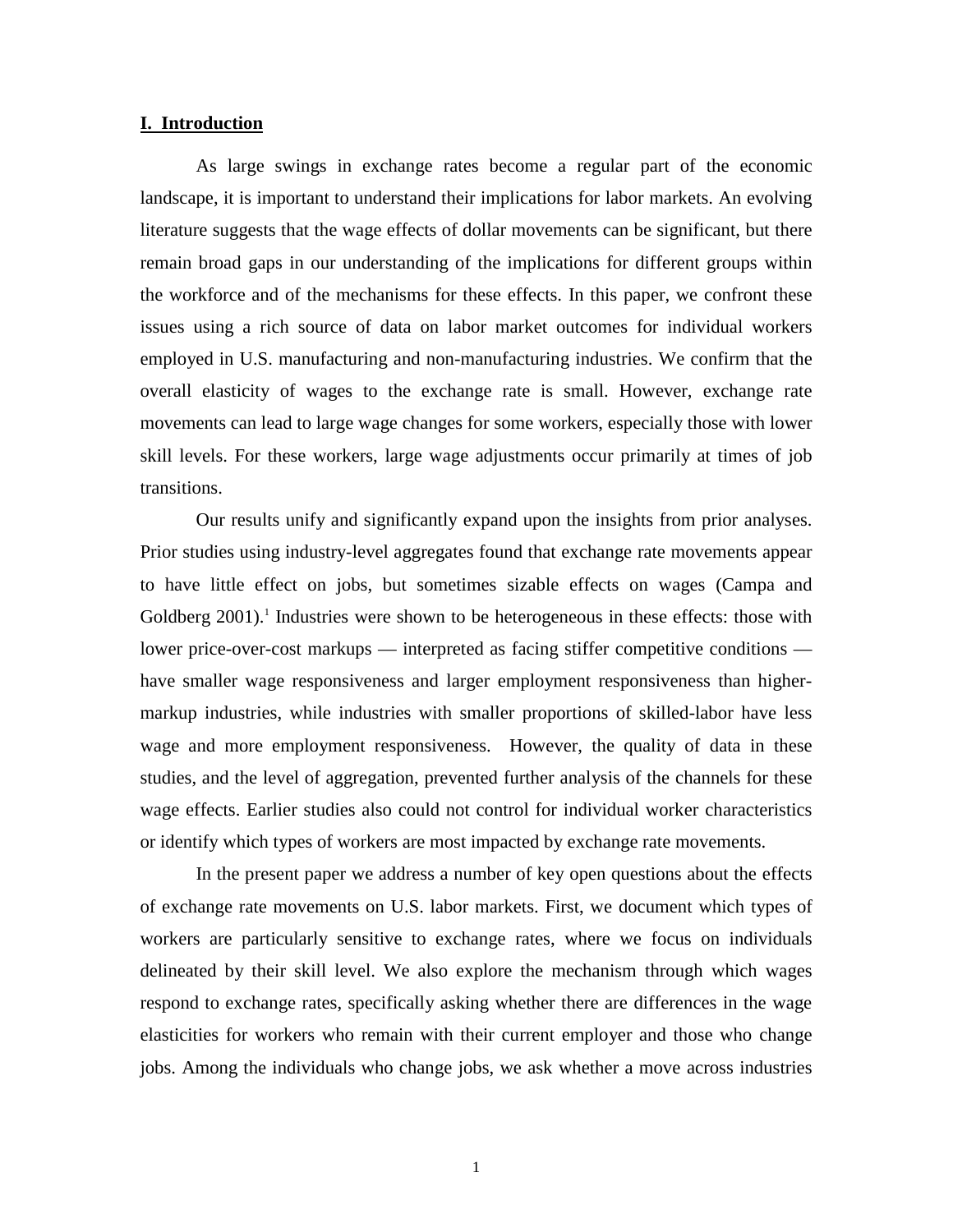### **I. Introduction**

As large swings in exchange rates become a regular part of the economic landscape, it is important to understand their implications for labor markets. An evolving literature suggests that the wage effects of dollar movements can be significant, but there remain broad gaps in our understanding of the implications for different groups within the workforce and of the mechanisms for these effects. In this paper, we confront these issues using a rich source of data on labor market outcomes for individual workers employed in U.S. manufacturing and non-manufacturing industries. We confirm that the overall elasticity of wages to the exchange rate is small. However, exchange rate movements can lead to large wage changes for some workers, especially those with lower skill levels. For these workers, large wage adjustments occur primarily at times of job transitions.

Our results unify and significantly expand upon the insights from prior analyses. Prior studies using industry-level aggregates found that exchange rate movements appear to have little effect on jobs, but sometimes sizable effects on wages (Campa and Goldberg 2001).<sup>1</sup> Industries were shown to be heterogeneous in these effects: those with lower price-over-cost markups — interpreted as facing stiffer competitive conditions have smaller wage responsiveness and larger employment responsiveness than highermarkup industries, while industries with smaller proportions of skilled-labor have less wage and more employment responsiveness. However, the quality of data in these studies, and the level of aggregation, prevented further analysis of the channels for these wage effects. Earlier studies also could not control for individual worker characteristics or identify which types of workers are most impacted by exchange rate movements.

In the present paper we address a number of key open questions about the effects of exchange rate movements on U.S. labor markets. First, we document which types of workers are particularly sensitive to exchange rates, where we focus on individuals delineated by their skill level. We also explore the mechanism through which wages respond to exchange rates, specifically asking whether there are differences in the wage elasticities for workers who remain with their current employer and those who change jobs. Among the individuals who change jobs, we ask whether a move across industries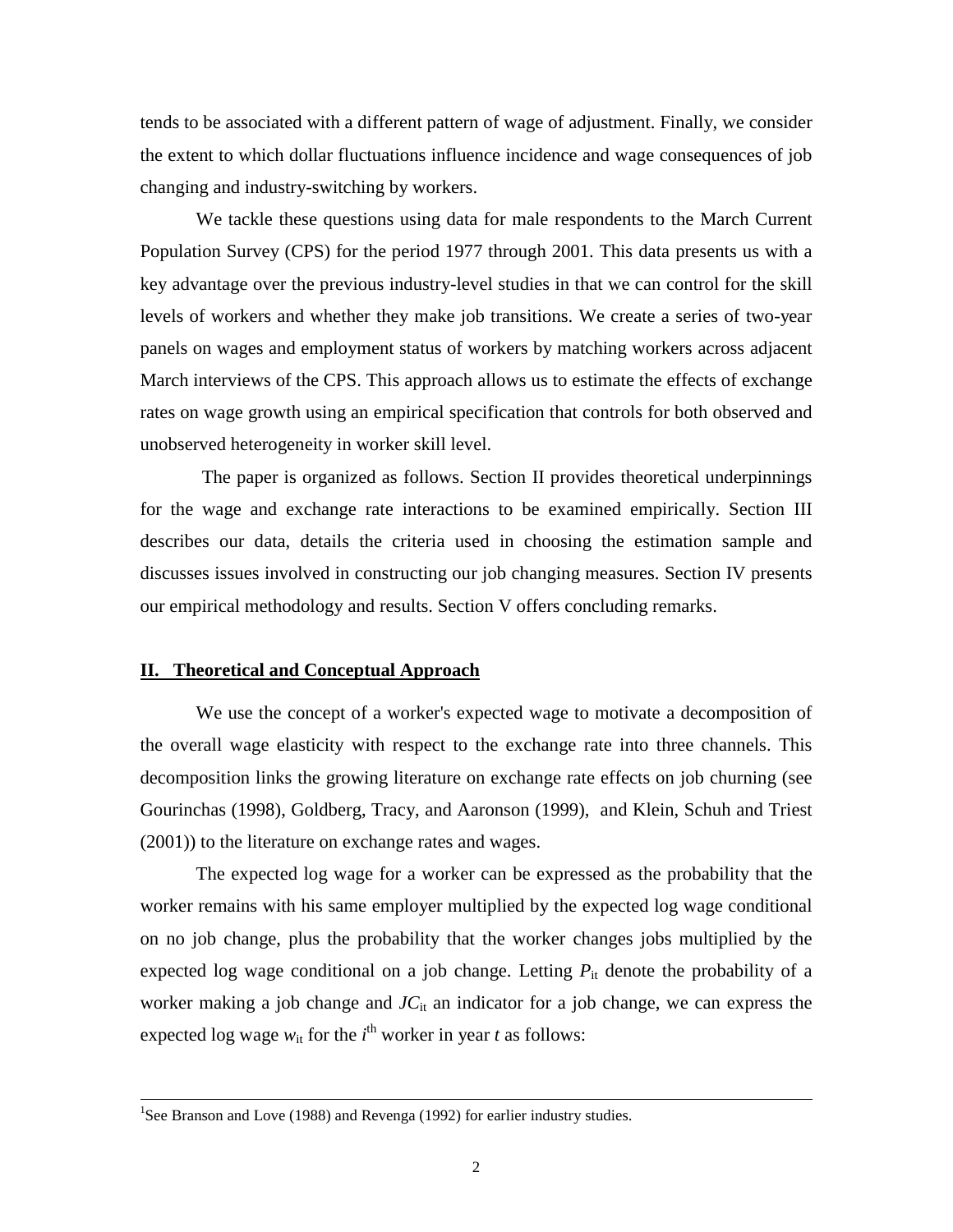tends to be associated with a different pattern of wage of adjustment. Finally, we consider the extent to which dollar fluctuations influence incidence and wage consequences of job changing and industry-switching by workers.

We tackle these questions using data for male respondents to the March Current Population Survey (CPS) for the period 1977 through 2001. This data presents us with a key advantage over the previous industry-level studies in that we can control for the skill levels of workers and whether they make job transitions. We create a series of two-year panels on wages and employment status of workers by matching workers across adjacent March interviews of the CPS. This approach allows us to estimate the effects of exchange rates on wage growth using an empirical specification that controls for both observed and unobserved heterogeneity in worker skill level.

 The paper is organized as follows. Section II provides theoretical underpinnings for the wage and exchange rate interactions to be examined empirically. Section III describes our data, details the criteria used in choosing the estimation sample and discusses issues involved in constructing our job changing measures. Section IV presents our empirical methodology and results. Section V offers concluding remarks.

## **II. Theoretical and Conceptual Approach**

We use the concept of a worker's expected wage to motivate a decomposition of the overall wage elasticity with respect to the exchange rate into three channels. This decomposition links the growing literature on exchange rate effects on job churning (see Gourinchas (1998), Goldberg, Tracy, and Aaronson (1999), and Klein, Schuh and Triest (2001)) to the literature on exchange rates and wages.

The expected log wage for a worker can be expressed as the probability that the worker remains with his same employer multiplied by the expected log wage conditional on no job change, plus the probability that the worker changes jobs multiplied by the expected log wage conditional on a job change. Letting  $P_{it}$  denote the probability of a worker making a job change and  $J_{\text{Cit}}$  an indicator for a job change, we can express the expected log wage  $w_{it}$  for the *i*<sup>th</sup> worker in year *t* as follows:

<sup>&</sup>lt;sup>1</sup>See Branson and Love (1988) and Revenga (1992) for earlier industry studies.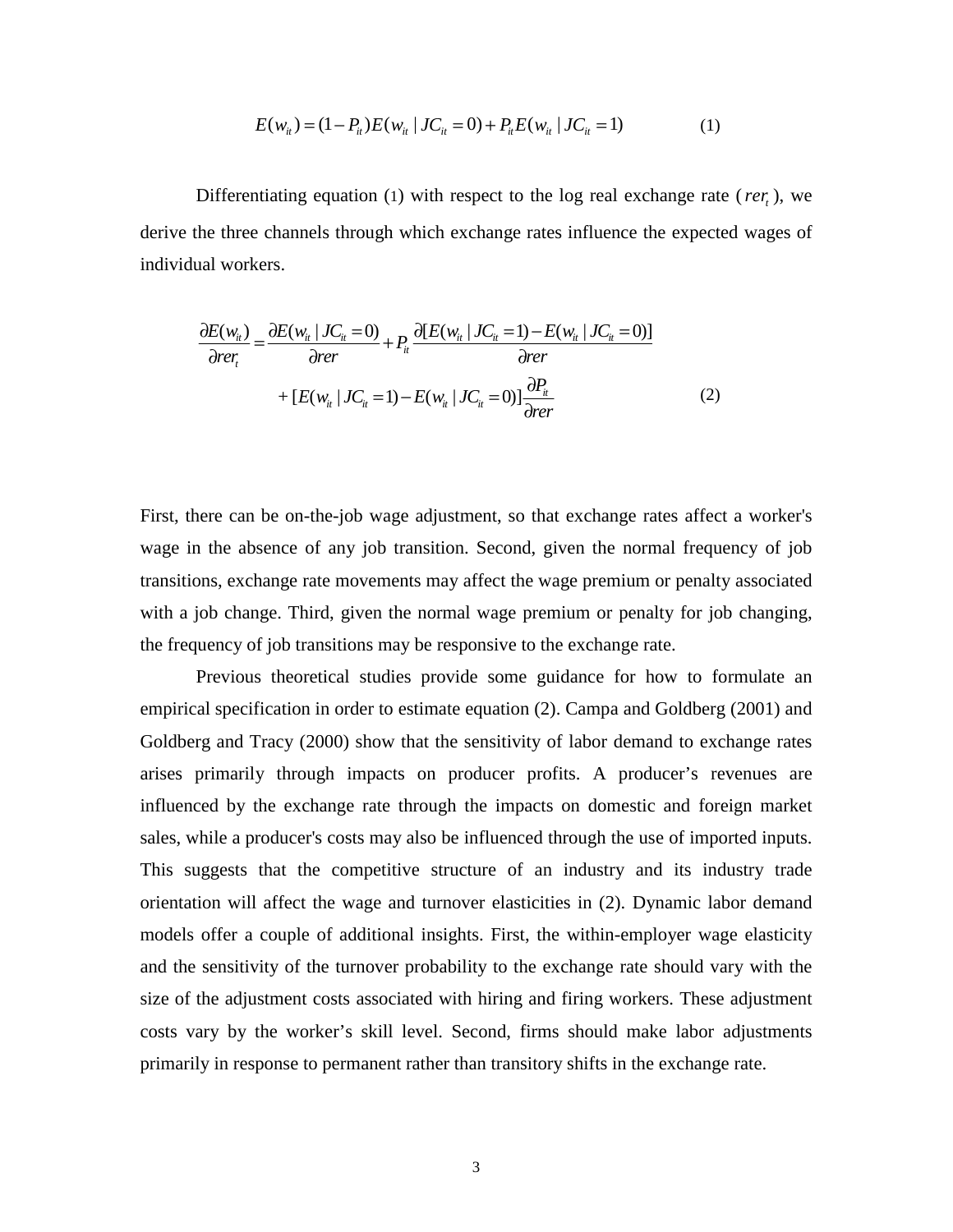$$
E(w_{it}) = (1 - P_{it})E(w_{it} | JC_{it} = 0) + P_{it}E(w_{it} | JC_{it} = 1)
$$
 (1)

Differentiating equation (1) with respect to the log real exchange rate ( $rer$ ), we derive the three channels through which exchange rates influence the expected wages of individual workers.

$$
\frac{\partial E(w_{ii})}{\partial r} = \frac{\partial E(w_{ii} \mid JC_{ii} = 0)}{\partial r} + P_{ii} \frac{\partial [E(w_{ii} \mid JC_{ii} = 1) - E(w_{ii} \mid JC_{ii} = 0)]}{\partial r} + [E(w_{ii} \mid JC_{ii} = 1) - E(w_{ii} \mid JC_{ii} = 0)] \frac{\partial P_{ii}}{\partial r} \tag{2}
$$

First, there can be on-the-job wage adjustment, so that exchange rates affect a worker's wage in the absence of any job transition. Second, given the normal frequency of job transitions, exchange rate movements may affect the wage premium or penalty associated with a job change. Third, given the normal wage premium or penalty for job changing, the frequency of job transitions may be responsive to the exchange rate.

Previous theoretical studies provide some guidance for how to formulate an empirical specification in order to estimate equation (2). Campa and Goldberg (2001) and Goldberg and Tracy (2000) show that the sensitivity of labor demand to exchange rates arises primarily through impacts on producer profits. A producer's revenues are influenced by the exchange rate through the impacts on domestic and foreign market sales, while a producer's costs may also be influenced through the use of imported inputs. This suggests that the competitive structure of an industry and its industry trade orientation will affect the wage and turnover elasticities in (2). Dynamic labor demand models offer a couple of additional insights. First, the within-employer wage elasticity and the sensitivity of the turnover probability to the exchange rate should vary with the size of the adjustment costs associated with hiring and firing workers. These adjustment costs vary by the worker's skill level. Second, firms should make labor adjustments primarily in response to permanent rather than transitory shifts in the exchange rate.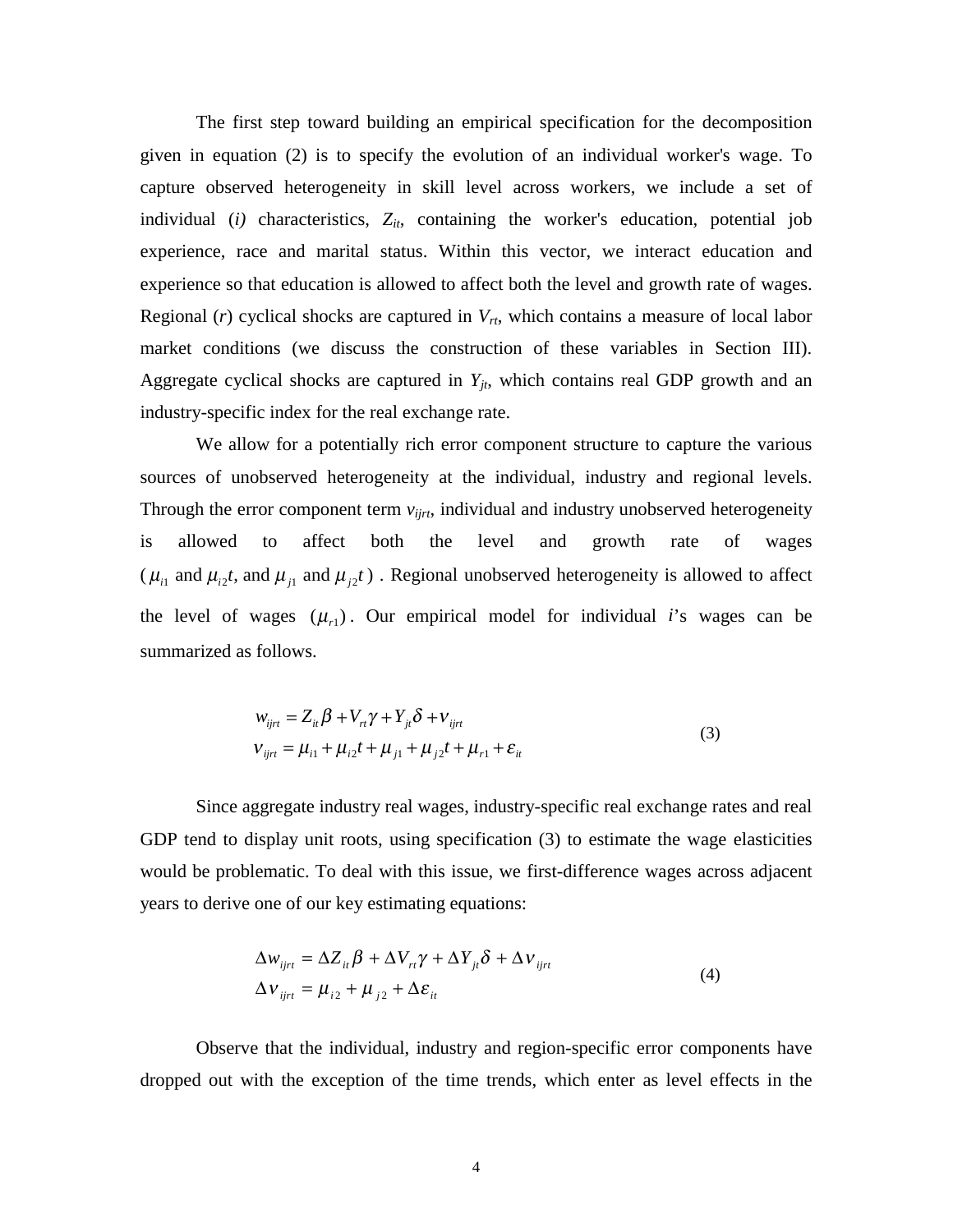The first step toward building an empirical specification for the decomposition given in equation (2) is to specify the evolution of an individual worker's wage. To capture observed heterogeneity in skill level across workers, we include a set of individual ( $i$ ) characteristics,  $Z_{it}$ , containing the worker's education, potential job experience, race and marital status. Within this vector, we interact education and experience so that education is allowed to affect both the level and growth rate of wages. Regional (*r*) cyclical shocks are captured in  $V_{rt}$ , which contains a measure of local labor market conditions (we discuss the construction of these variables in Section III). Aggregate cyclical shocks are captured in  $Y_{it}$ , which contains real GDP growth and an industry-specific index for the real exchange rate.

We allow for a potentially rich error component structure to capture the various sources of unobserved heterogeneity at the individual, industry and regional levels. Through the error component term *vijrt*, individual and industry unobserved heterogeneity is allowed to affect both the level and growth rate of wages ( $\mu_{i1}$  and  $\mu_{i2}t$ , and  $\mu_{i1}$  and  $\mu_{i2}t$ ). Regional unobserved heterogeneity is allowed to affect the level of wages  $(\mu_{r1})$ . Our empirical model for individual *i*'s wages can be summarized as follows.

$$
w_{ijrt} = Z_{it} \beta + V_{rt} \gamma + Y_{jt} \delta + V_{ijrt}
$$
  
\n
$$
V_{ijrt} = \mu_{i1} + \mu_{i2}t + \mu_{j1} + \mu_{j2}t + \mu_{r1} + \varepsilon_{it}
$$
\n(3)

Since aggregate industry real wages, industry-specific real exchange rates and real GDP tend to display unit roots, using specification (3) to estimate the wage elasticities would be problematic. To deal with this issue, we first-difference wages across adjacent years to derive one of our key estimating equations:

$$
\Delta w_{ijrt} = \Delta Z_{it} \beta + \Delta V_{rt} \gamma + \Delta Y_{jt} \delta + \Delta V_{ijrt}
$$
  
\n
$$
\Delta V_{ijrt} = \mu_{i2} + \mu_{j2} + \Delta \varepsilon_{it}
$$
\n(4)

Observe that the individual, industry and region-specific error components have dropped out with the exception of the time trends, which enter as level effects in the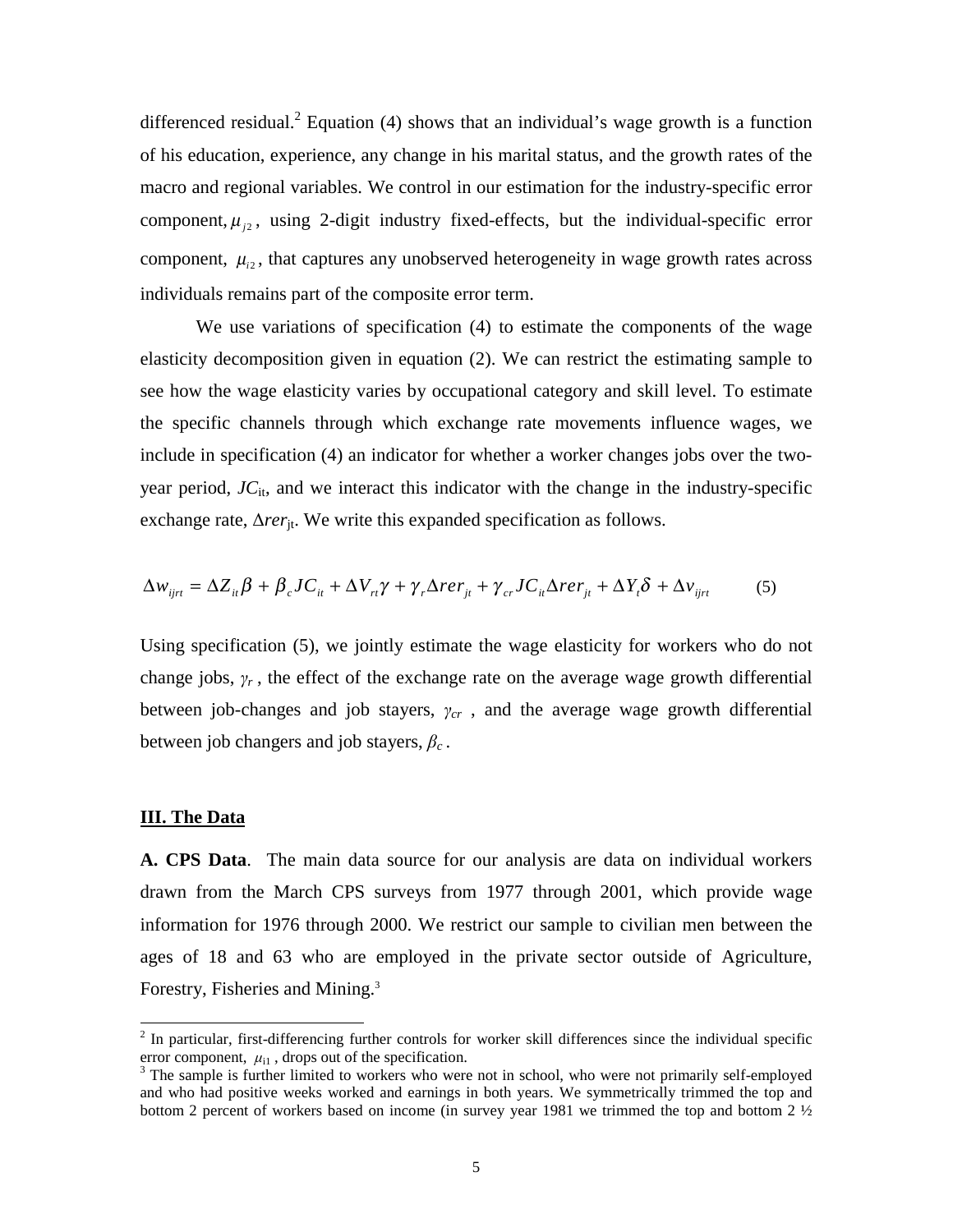differenced residual.<sup>2</sup> Equation (4) shows that an individual's wage growth is a function of his education, experience, any change in his marital status, and the growth rates of the macro and regional variables. We control in our estimation for the industry-specific error component,  $\mu_{i2}$ , using 2-digit industry fixed-effects, but the individual-specific error component,  $\mu_{i2}$ , that captures any unobserved heterogeneity in wage growth rates across individuals remains part of the composite error term.

We use variations of specification (4) to estimate the components of the wage elasticity decomposition given in equation (2). We can restrict the estimating sample to see how the wage elasticity varies by occupational category and skill level. To estimate the specific channels through which exchange rate movements influence wages, we include in specification (4) an indicator for whether a worker changes jobs over the twoyear period,  $J_{\text{C}_{it}}$  and we interact this indicator with the change in the industry-specific exchange rate,  $\Delta r e r_{it}$ . We write this expanded specification as follows.

$$
\Delta w_{ijrt} = \Delta Z_{it} \beta + \beta_c J C_{it} + \Delta V_{rt} \gamma + \gamma_r \Delta r e r_{jt} + \gamma_{cr} J C_{it} \Delta r e r_{jt} + \Delta Y_i \delta + \Delta v_{ijrt}
$$
(5)

Using specification (5), we jointly estimate the wage elasticity for workers who do not change jobs,  $\gamma_r$ , the effect of the exchange rate on the average wage growth differential between job-changes and job stayers,  $\gamma_{cr}$ , and the average wage growth differential between job changers and job stayers,  $\beta_c$ .

#### **III. The Data**

 $\overline{a}$ 

**A. CPS Data**. The main data source for our analysis are data on individual workers drawn from the March CPS surveys from 1977 through 2001, which provide wage information for 1976 through 2000. We restrict our sample to civilian men between the ages of 18 and 63 who are employed in the private sector outside of Agriculture, Forestry, Fisheries and Mining.<sup>3</sup>

 $2$  In particular, first-differencing further controls for worker skill differences since the individual specific error component,  $\mu_{i1}$ , drops out of the specification.

<sup>&</sup>lt;sup>3</sup> The sample is further limited to workers who were not in school, who were not primarily self-employed and who had positive weeks worked and earnings in both years. We symmetrically trimmed the top and bottom 2 percent of workers based on income (in survey year 1981 we trimmed the top and bottom 2 ½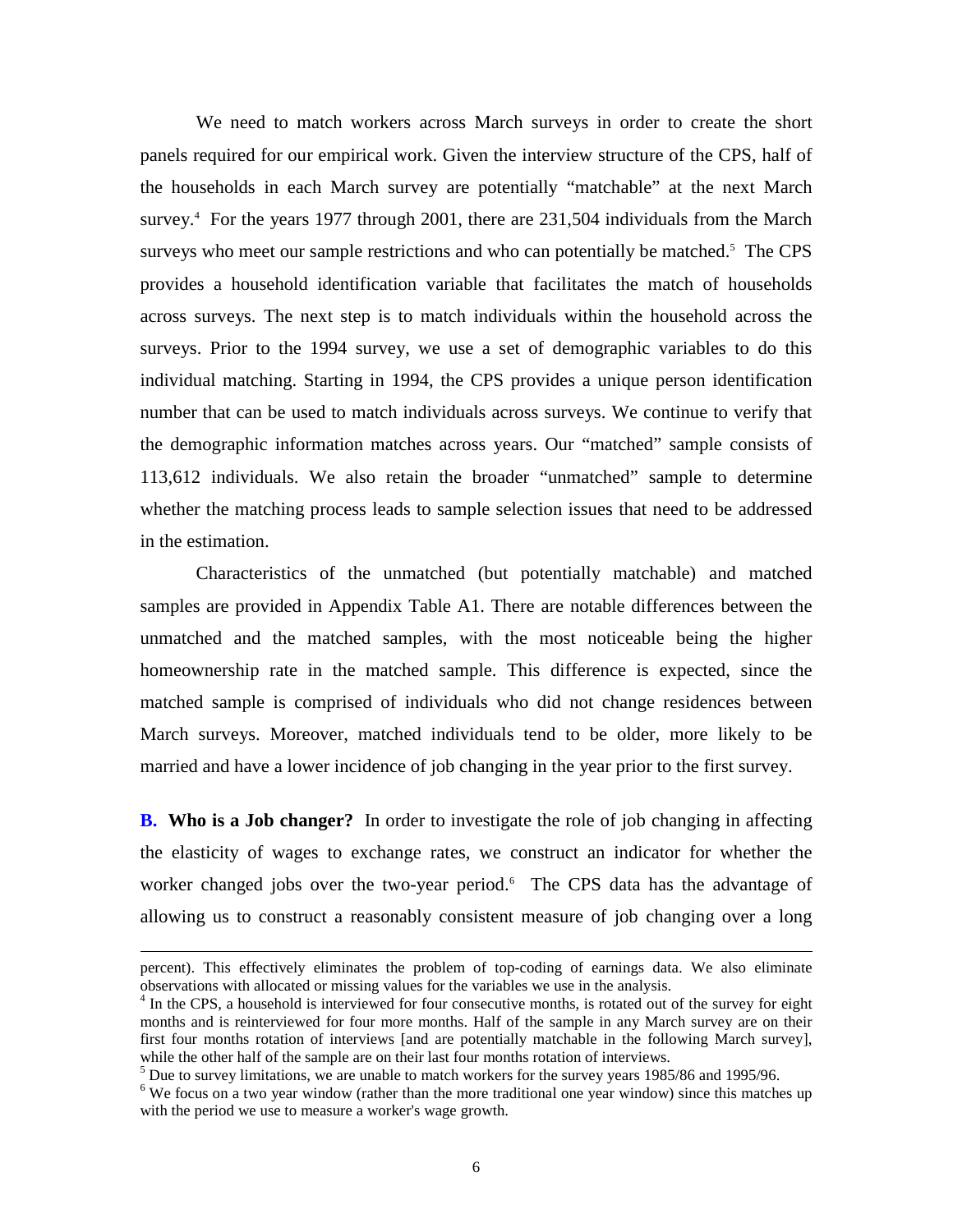We need to match workers across March surveys in order to create the short panels required for our empirical work. Given the interview structure of the CPS, half of the households in each March survey are potentially "matchable" at the next March survey.<sup>4</sup> For the years 1977 through 2001, there are 231,504 individuals from the March surveys who meet our sample restrictions and who can potentially be matched.<sup>5</sup> The CPS provides a household identification variable that facilitates the match of households across surveys. The next step is to match individuals within the household across the surveys. Prior to the 1994 survey, we use a set of demographic variables to do this individual matching. Starting in 1994, the CPS provides a unique person identification number that can be used to match individuals across surveys. We continue to verify that the demographic information matches across years. Our "matched" sample consists of 113,612 individuals. We also retain the broader "unmatched" sample to determine whether the matching process leads to sample selection issues that need to be addressed in the estimation.

Characteristics of the unmatched (but potentially matchable) and matched samples are provided in Appendix Table A1. There are notable differences between the unmatched and the matched samples, with the most noticeable being the higher homeownership rate in the matched sample. This difference is expected, since the matched sample is comprised of individuals who did not change residences between March surveys. Moreover, matched individuals tend to be older, more likely to be married and have a lower incidence of job changing in the year prior to the first survey.

**B. Who is a Job changer?** In order to investigate the role of job changing in affecting the elasticity of wages to exchange rates, we construct an indicator for whether the worker changed jobs over the two-year period.<sup>6</sup> The CPS data has the advantage of allowing us to construct a reasonably consistent measure of job changing over a long

percent). This effectively eliminates the problem of top-coding of earnings data. We also eliminate observations with allocated or missing values for the variables we use in the analysis.

<sup>&</sup>lt;sup>4</sup> In the CPS, a household is interviewed for four consecutive months, is rotated out of the survey for eight months and is reinterviewed for four more months. Half of the sample in any March survey are on their first four months rotation of interviews [and are potentially matchable in the following March survey], while the other half of the sample are on their last four months rotation of interviews.

<sup>&</sup>lt;sup>5</sup> Due to survey limitations, we are unable to match workers for the survey years 1985/86 and 1995/96.

 $6$  We focus on a two year window (rather than the more traditional one year window) since this matches up with the period we use to measure a worker's wage growth.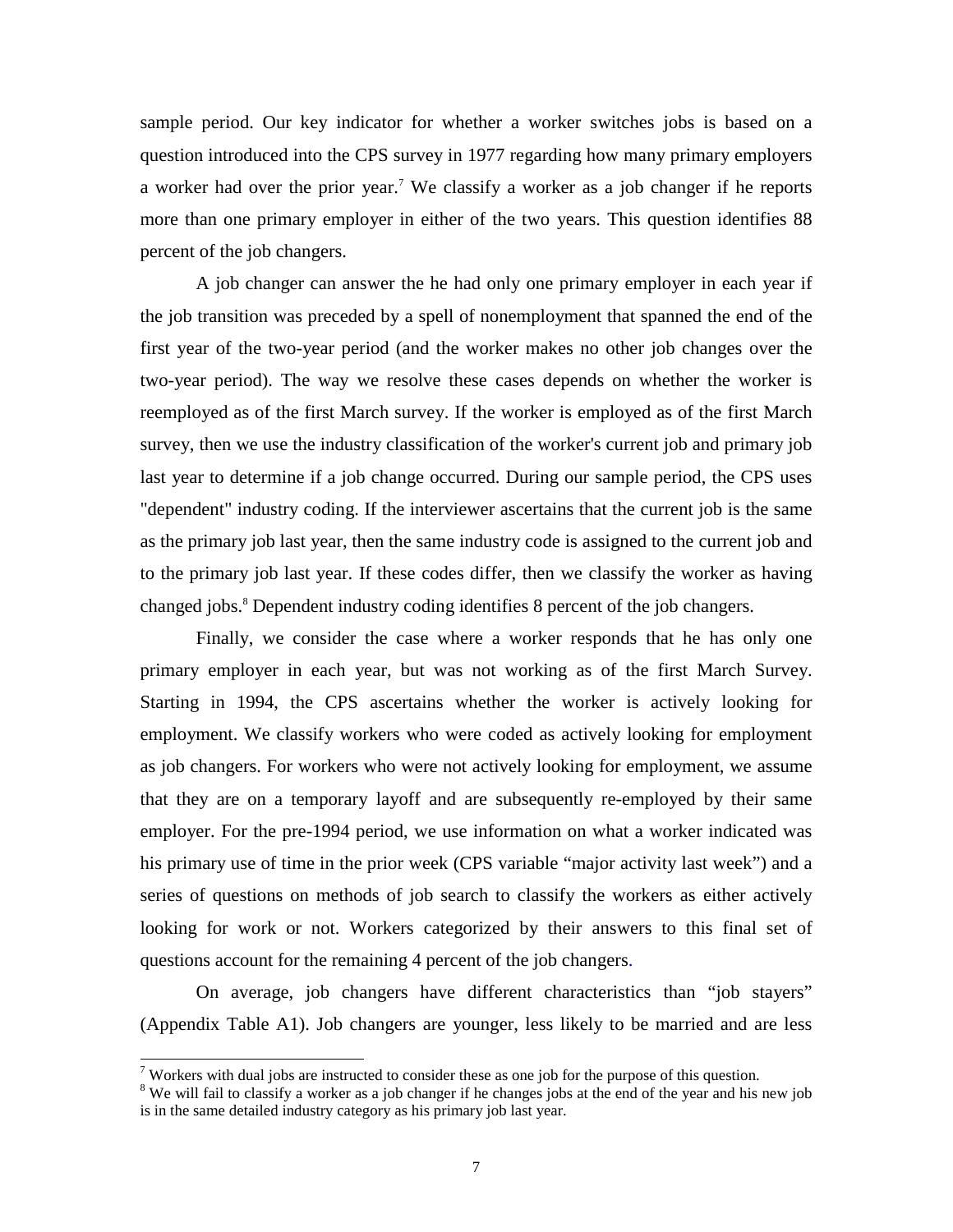sample period. Our key indicator for whether a worker switches jobs is based on a question introduced into the CPS survey in 1977 regarding how many primary employers a worker had over the prior year.<sup>7</sup> We classify a worker as a job changer if he reports more than one primary employer in either of the two years. This question identifies 88 percent of the job changers.

A job changer can answer the he had only one primary employer in each year if the job transition was preceded by a spell of nonemployment that spanned the end of the first year of the two-year period (and the worker makes no other job changes over the two-year period). The way we resolve these cases depends on whether the worker is reemployed as of the first March survey. If the worker is employed as of the first March survey, then we use the industry classification of the worker's current job and primary job last year to determine if a job change occurred. During our sample period, the CPS uses "dependent" industry coding. If the interviewer ascertains that the current job is the same as the primary job last year, then the same industry code is assigned to the current job and to the primary job last year. If these codes differ, then we classify the worker as having changed jobs.8 Dependent industry coding identifies 8 percent of the job changers.

Finally, we consider the case where a worker responds that he has only one primary employer in each year, but was not working as of the first March Survey. Starting in 1994, the CPS ascertains whether the worker is actively looking for employment. We classify workers who were coded as actively looking for employment as job changers. For workers who were not actively looking for employment, we assume that they are on a temporary layoff and are subsequently re-employed by their same employer. For the pre-1994 period, we use information on what a worker indicated was his primary use of time in the prior week (CPS variable "major activity last week") and a series of questions on methods of job search to classify the workers as either actively looking for work or not. Workers categorized by their answers to this final set of questions account for the remaining 4 percent of the job changers.

On average, job changers have different characteristics than "job stayers" (Appendix Table A1). Job changers are younger, less likely to be married and are less

 $7$  Workers with dual jobs are instructed to consider these as one job for the purpose of this question.

<sup>&</sup>lt;sup>8</sup> We will fail to classify a worker as a job changer if he changes jobs at the end of the year and his new job is in the same detailed industry category as his primary job last year.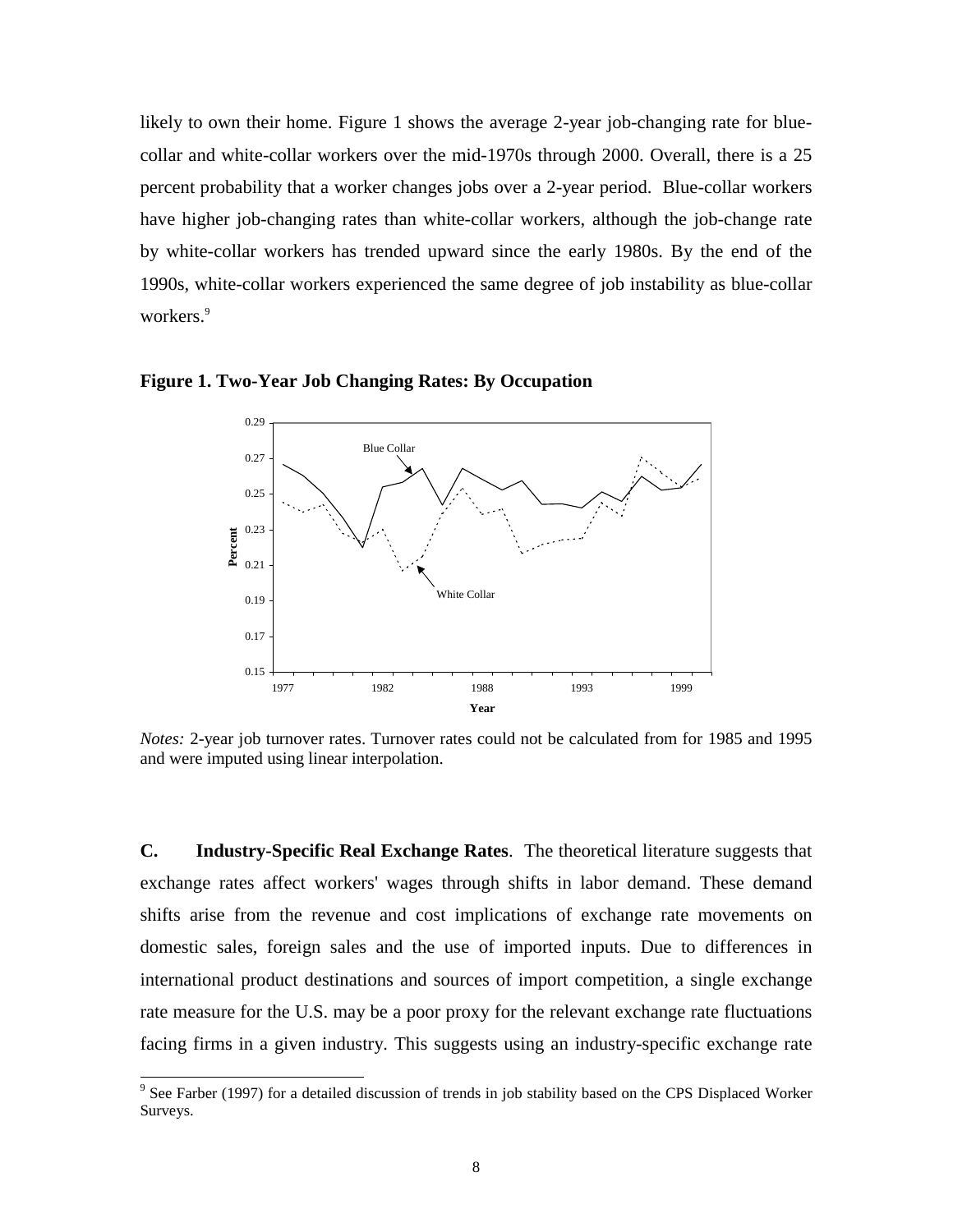likely to own their home. Figure 1 shows the average 2-year job-changing rate for bluecollar and white-collar workers over the mid-1970s through 2000. Overall, there is a 25 percent probability that a worker changes jobs over a 2-year period. Blue-collar workers have higher job-changing rates than white-collar workers, although the job-change rate by white-collar workers has trended upward since the early 1980s. By the end of the 1990s, white-collar workers experienced the same degree of job instability as blue-collar workers.<sup>9</sup>



**Figure 1. Two-Year Job Changing Rates: By Occupation**

*Notes:* 2-year job turnover rates. Turnover rates could not be calculated from for 1985 and 1995 and were imputed using linear interpolation.

**C. Industry-Specific Real Exchange Rates**. The theoretical literature suggests that exchange rates affect workers' wages through shifts in labor demand. These demand shifts arise from the revenue and cost implications of exchange rate movements on domestic sales, foreign sales and the use of imported inputs. Due to differences in international product destinations and sources of import competition, a single exchange rate measure for the U.S. may be a poor proxy for the relevant exchange rate fluctuations facing firms in a given industry. This suggests using an industry-specific exchange rate

<sup>&</sup>lt;sup>9</sup> See Farber (1997) for a detailed discussion of trends in job stability based on the CPS Displaced Worker Surveys.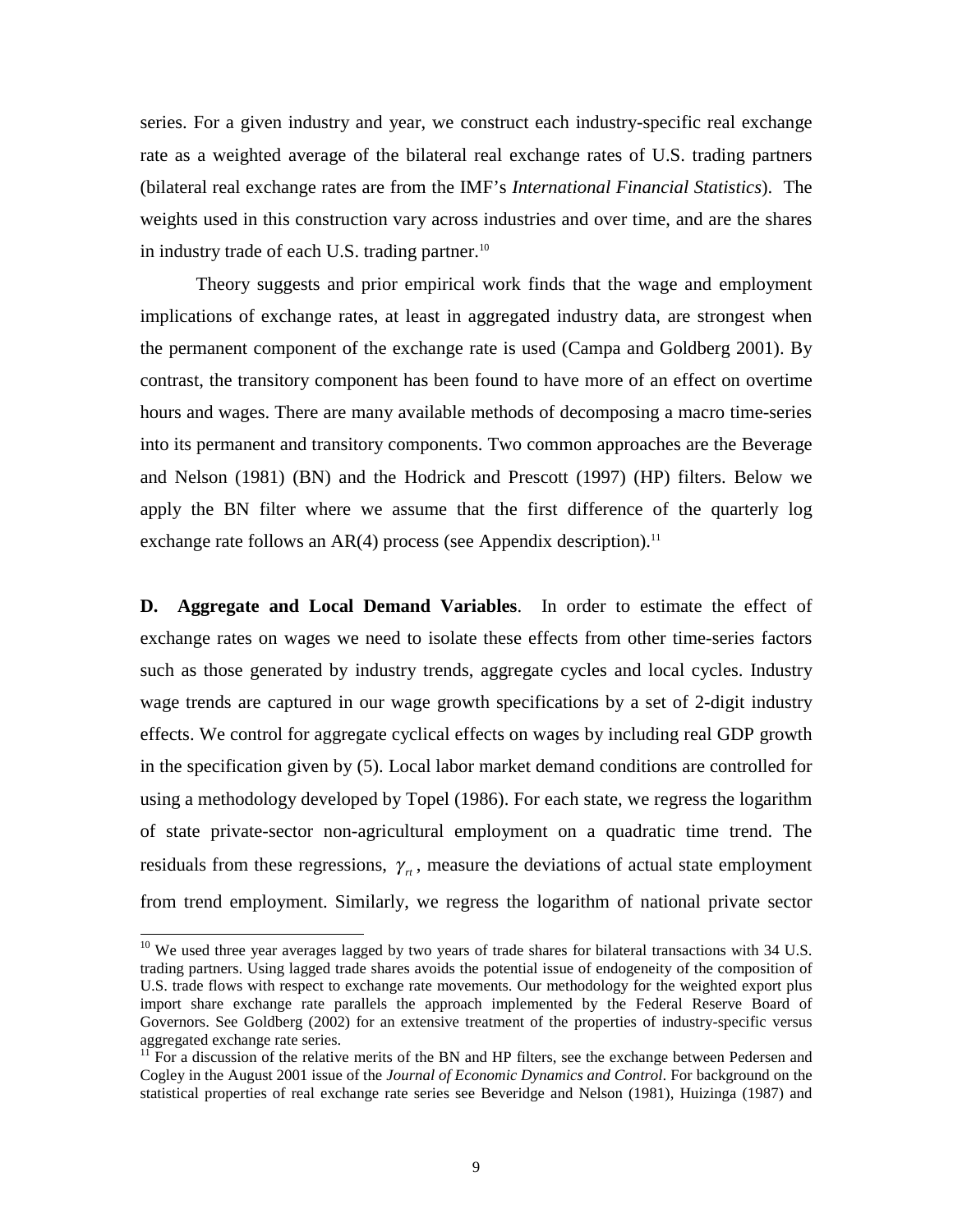series. For a given industry and year, we construct each industry-specific real exchange rate as a weighted average of the bilateral real exchange rates of U.S. trading partners (bilateral real exchange rates are from the IMF's *International Financial Statistics*). The weights used in this construction vary across industries and over time, and are the shares in industry trade of each U.S. trading partner.<sup>10</sup>

Theory suggests and prior empirical work finds that the wage and employment implications of exchange rates, at least in aggregated industry data, are strongest when the permanent component of the exchange rate is used (Campa and Goldberg 2001). By contrast, the transitory component has been found to have more of an effect on overtime hours and wages. There are many available methods of decomposing a macro time-series into its permanent and transitory components. Two common approaches are the Beverage and Nelson (1981) (BN) and the Hodrick and Prescott (1997) (HP) filters. Below we apply the BN filter where we assume that the first difference of the quarterly log exchange rate follows an  $AR(4)$  process (see Appendix description).<sup>11</sup>

**D. Aggregate and Local Demand Variables**. In order to estimate the effect of exchange rates on wages we need to isolate these effects from other time-series factors such as those generated by industry trends, aggregate cycles and local cycles. Industry wage trends are captured in our wage growth specifications by a set of 2-digit industry effects. We control for aggregate cyclical effects on wages by including real GDP growth in the specification given by (5). Local labor market demand conditions are controlled for using a methodology developed by Topel (1986). For each state, we regress the logarithm of state private-sector non-agricultural employment on a quadratic time trend. The residuals from these regressions,  $\gamma_{\mu}$ , measure the deviations of actual state employment from trend employment. Similarly, we regress the logarithm of national private sector

 $10$  We used three year averages lagged by two years of trade shares for bilateral transactions with 34 U.S. trading partners. Using lagged trade shares avoids the potential issue of endogeneity of the composition of U.S. trade flows with respect to exchange rate movements. Our methodology for the weighted export plus import share exchange rate parallels the approach implemented by the Federal Reserve Board of Governors. See Goldberg (2002) for an extensive treatment of the properties of industry-specific versus aggregated exchange rate series.

 $11$  For a discussion of the relative merits of the BN and HP filters, see the exchange between Pedersen and Cogley in the August 2001 issue of the *Journal of Economic Dynamics and Control*. For background on the statistical properties of real exchange rate series see Beveridge and Nelson (1981), Huizinga (1987) and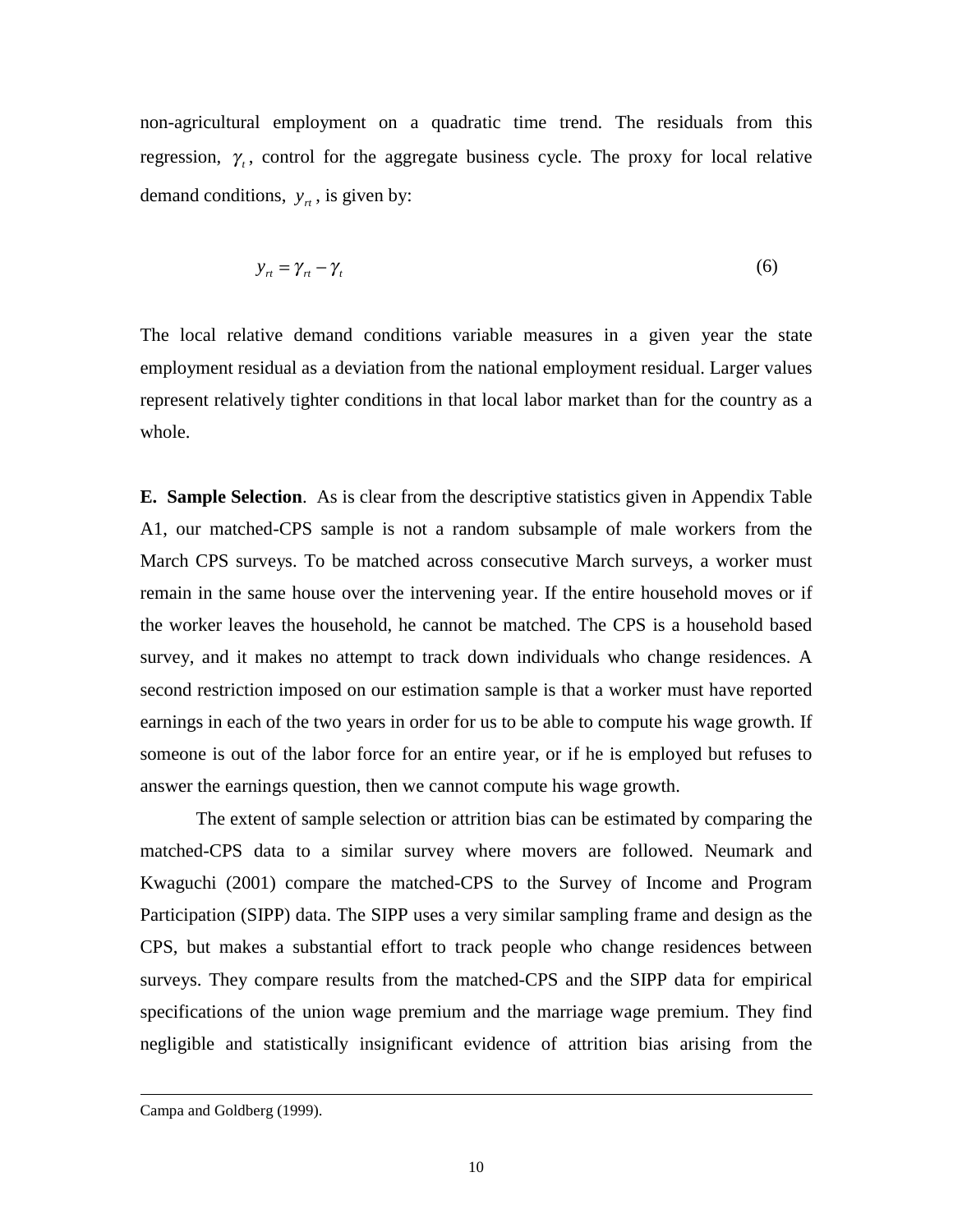non-agricultural employment on a quadratic time trend. The residuals from this regression,  $\gamma$ , control for the aggregate business cycle. The proxy for local relative demand conditions,  $y_{rt}$ , is given by:

$$
y_n = \gamma_n - \gamma_t \tag{6}
$$

The local relative demand conditions variable measures in a given year the state employment residual as a deviation from the national employment residual. Larger values represent relatively tighter conditions in that local labor market than for the country as a whole.

**E. Sample Selection**. As is clear from the descriptive statistics given in Appendix Table A1, our matched-CPS sample is not a random subsample of male workers from the March CPS surveys. To be matched across consecutive March surveys, a worker must remain in the same house over the intervening year. If the entire household moves or if the worker leaves the household, he cannot be matched. The CPS is a household based survey, and it makes no attempt to track down individuals who change residences. A second restriction imposed on our estimation sample is that a worker must have reported earnings in each of the two years in order for us to be able to compute his wage growth. If someone is out of the labor force for an entire year, or if he is employed but refuses to answer the earnings question, then we cannot compute his wage growth.

The extent of sample selection or attrition bias can be estimated by comparing the matched-CPS data to a similar survey where movers are followed. Neumark and Kwaguchi (2001) compare the matched-CPS to the Survey of Income and Program Participation (SIPP) data. The SIPP uses a very similar sampling frame and design as the CPS, but makes a substantial effort to track people who change residences between surveys. They compare results from the matched-CPS and the SIPP data for empirical specifications of the union wage premium and the marriage wage premium. They find negligible and statistically insignificant evidence of attrition bias arising from the

Campa and Goldberg (1999).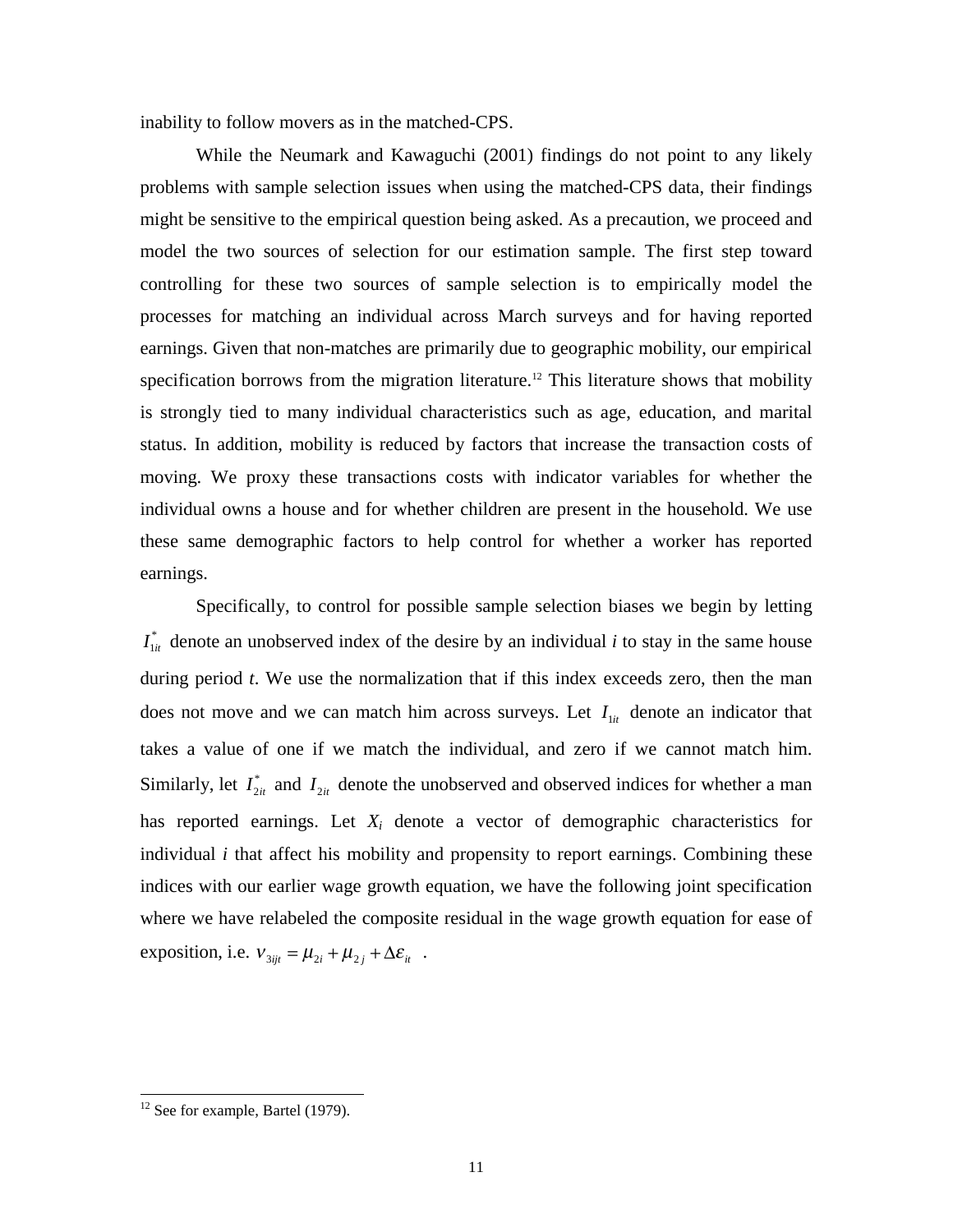inability to follow movers as in the matched-CPS.

While the Neumark and Kawaguchi (2001) findings do not point to any likely problems with sample selection issues when using the matched-CPS data, their findings might be sensitive to the empirical question being asked. As a precaution, we proceed and model the two sources of selection for our estimation sample. The first step toward controlling for these two sources of sample selection is to empirically model the processes for matching an individual across March surveys and for having reported earnings. Given that non-matches are primarily due to geographic mobility, our empirical specification borrows from the migration literature.<sup>12</sup> This literature shows that mobility is strongly tied to many individual characteristics such as age, education, and marital status. In addition, mobility is reduced by factors that increase the transaction costs of moving. We proxy these transactions costs with indicator variables for whether the individual owns a house and for whether children are present in the household. We use these same demographic factors to help control for whether a worker has reported earnings.

Specifically, to control for possible sample selection biases we begin by letting  $I_{1it}^*$  denote an unobserved index of the desire by an individual *i* to stay in the same house during period *t*. We use the normalization that if this index exceeds zero, then the man does not move and we can match him across surveys. Let  $I_{1it}$  denote an indicator that takes a value of one if we match the individual, and zero if we cannot match him. Similarly, let  $I_{2it}^*$  and  $I_{2it}$  denote the unobserved and observed indices for whether a man has reported earnings. Let *Xi* denote a vector of demographic characteristics for individual *i* that affect his mobility and propensity to report earnings. Combining these indices with our earlier wage growth equation, we have the following joint specification where we have relabeled the composite residual in the wage growth equation for ease of exposition, i.e.  $v_{3ijt} = \mu_{2i} + \mu_{2j} + \Delta \varepsilon_{it}$ .

 $12$  See for example, Bartel (1979).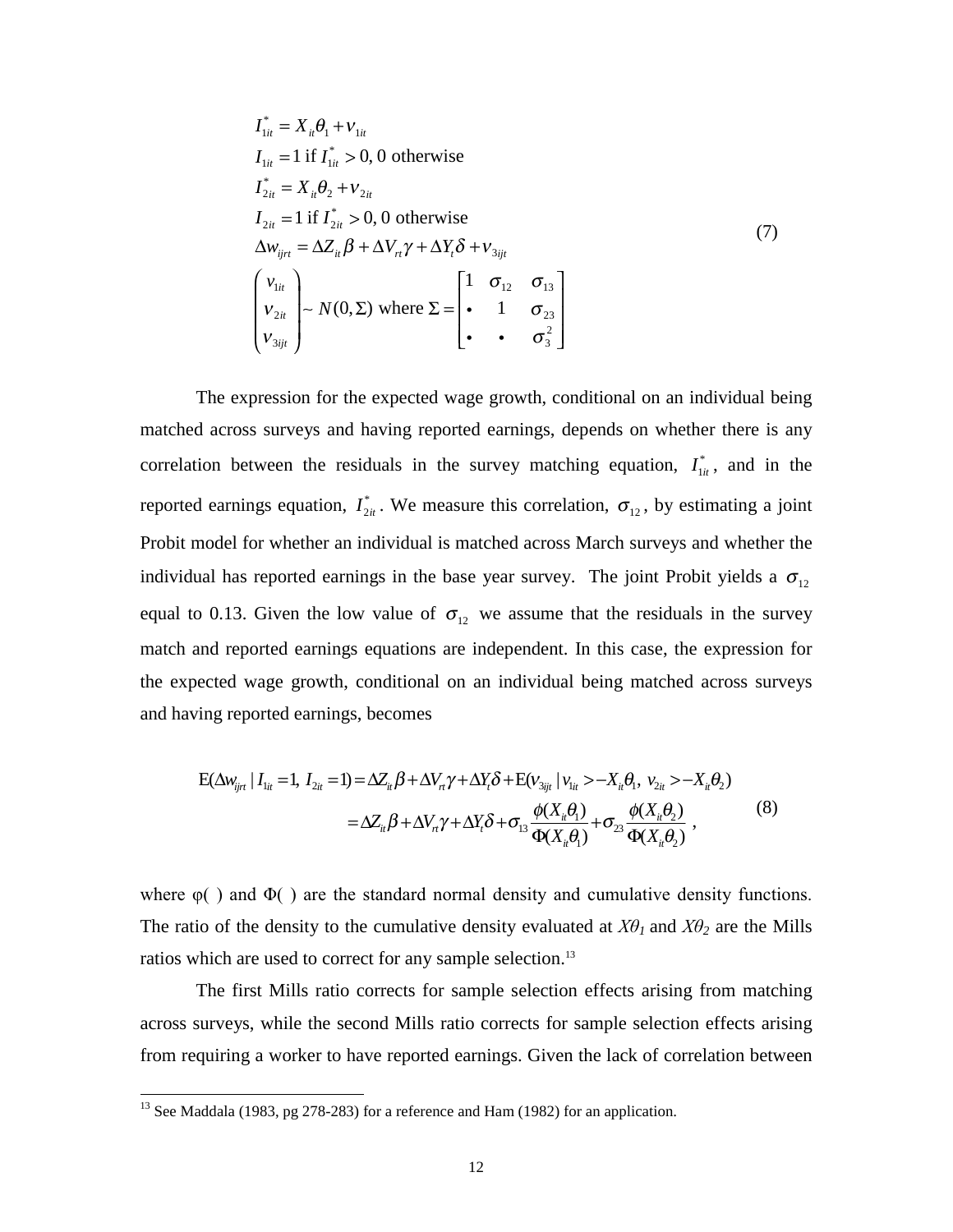$$
I_{1ii}^* = X_{ii} \theta_1 + v_{1ii}
$$
  
\n
$$
I_{1ii} = 1 \text{ if } I_{1ii}^* > 0, 0 \text{ otherwise}
$$
  
\n
$$
I_{2ii}^* = X_{ii} \theta_2 + v_{2ii}
$$
  
\n
$$
I_{2ii} = 1 \text{ if } I_{2ii}^* > 0, 0 \text{ otherwise}
$$
  
\n
$$
\Delta w_{ijrt} = \Delta Z_{it} \beta + \Delta V_{rt} \gamma + \Delta Y_t \delta + V_{3ijt}
$$
  
\n
$$
\begin{pmatrix} v_{1it} \\ v_{2it} \\ v_{2it} \end{pmatrix} \sim N(0, \Sigma) \text{ where } \Sigma = \begin{bmatrix} 1 & \sigma_{12} & \sigma_{13} \\ \cdot & 1 & \sigma_{23} \\ \cdot & \cdot & \sigma_3^2 \end{bmatrix}
$$

The expression for the expected wage growth, conditional on an individual being matched across surveys and having reported earnings, depends on whether there is any correlation between the residuals in the survey matching equation,  $I_{1it}^*$ , and in the reported earnings equation,  $I_{2it}^*$ . We measure this correlation,  $\sigma_{12}$ , by estimating a joint Probit model for whether an individual is matched across March surveys and whether the individual has reported earnings in the base year survey. The joint Probit yields a  $\sigma_{12}$ equal to 0.13. Given the low value of  $\sigma_{12}$  we assume that the residuals in the survey match and reported earnings equations are independent. In this case, the expression for the expected wage growth, conditional on an individual being matched across surveys and having reported earnings, becomes

$$
E(\Delta w_{ij\tau} | I_{1i\tau} = 1, I_{2i\tau} = 1) = \Delta Z_{ii} \beta + \Delta V_{\tau} \gamma + \Delta Y_{i} \delta + E(v_{3ij\tau} | v_{1i\tau} > -X_{i\tau} \theta_{1}, v_{2i\tau} > -X_{i\tau} \theta_{2})
$$
  

$$
= \Delta Z_{ii} \beta + \Delta V_{\tau} \gamma + \Delta Y_{i} \delta + \sigma_{13} \frac{\phi(X_{ii} \theta_{1})}{\Phi(X_{i\tau} \theta_{1})} + \sigma_{23} \frac{\phi(X_{i\tau} \theta_{2})}{\Phi(X_{i\tau} \theta_{2})},
$$
 (8)

where  $\varphi$ ( ) and  $\Phi$ ( ) are the standard normal density and cumulative density functions. The ratio of the density to the cumulative density evaluated at  $X\theta_1$  and  $X\theta_2$  are the Mills ratios which are used to correct for any sample selection.<sup>13</sup>

The first Mills ratio corrects for sample selection effects arising from matching across surveys, while the second Mills ratio corrects for sample selection effects arising from requiring a worker to have reported earnings. Given the lack of correlation between

 $^{13}$  See Maddala (1983, pg 278-283) for a reference and Ham (1982) for an application.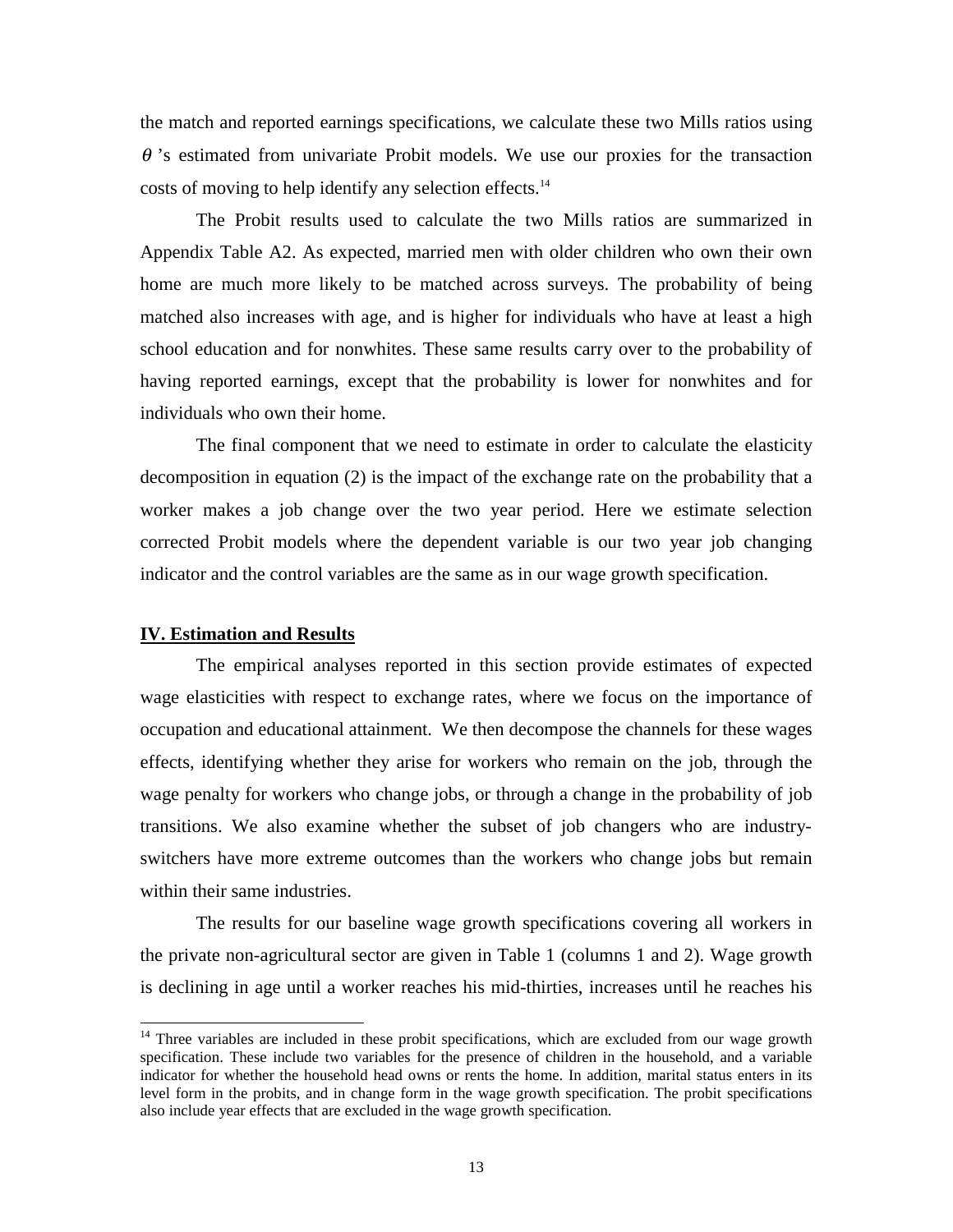the match and reported earnings specifications, we calculate these two Mills ratios using  $\theta$ 's estimated from univariate Probit models. We use our proxies for the transaction costs of moving to help identify any selection effects.<sup>14</sup>

The Probit results used to calculate the two Mills ratios are summarized in Appendix Table A2. As expected, married men with older children who own their own home are much more likely to be matched across surveys. The probability of being matched also increases with age, and is higher for individuals who have at least a high school education and for nonwhites. These same results carry over to the probability of having reported earnings, except that the probability is lower for nonwhites and for individuals who own their home.

The final component that we need to estimate in order to calculate the elasticity decomposition in equation (2) is the impact of the exchange rate on the probability that a worker makes a job change over the two year period. Here we estimate selection corrected Probit models where the dependent variable is our two year job changing indicator and the control variables are the same as in our wage growth specification.

## **IV. Estimation and Results**

 $\overline{a}$ 

The empirical analyses reported in this section provide estimates of expected wage elasticities with respect to exchange rates, where we focus on the importance of occupation and educational attainment. We then decompose the channels for these wages effects, identifying whether they arise for workers who remain on the job, through the wage penalty for workers who change jobs, or through a change in the probability of job transitions. We also examine whether the subset of job changers who are industryswitchers have more extreme outcomes than the workers who change jobs but remain within their same industries.

The results for our baseline wage growth specifications covering all workers in the private non-agricultural sector are given in Table 1 (columns 1 and 2). Wage growth is declining in age until a worker reaches his mid-thirties, increases until he reaches his

<sup>&</sup>lt;sup>14</sup> Three variables are included in these probit specifications, which are excluded from our wage growth specification. These include two variables for the presence of children in the household, and a variable indicator for whether the household head owns or rents the home. In addition, marital status enters in its level form in the probits, and in change form in the wage growth specification. The probit specifications also include year effects that are excluded in the wage growth specification.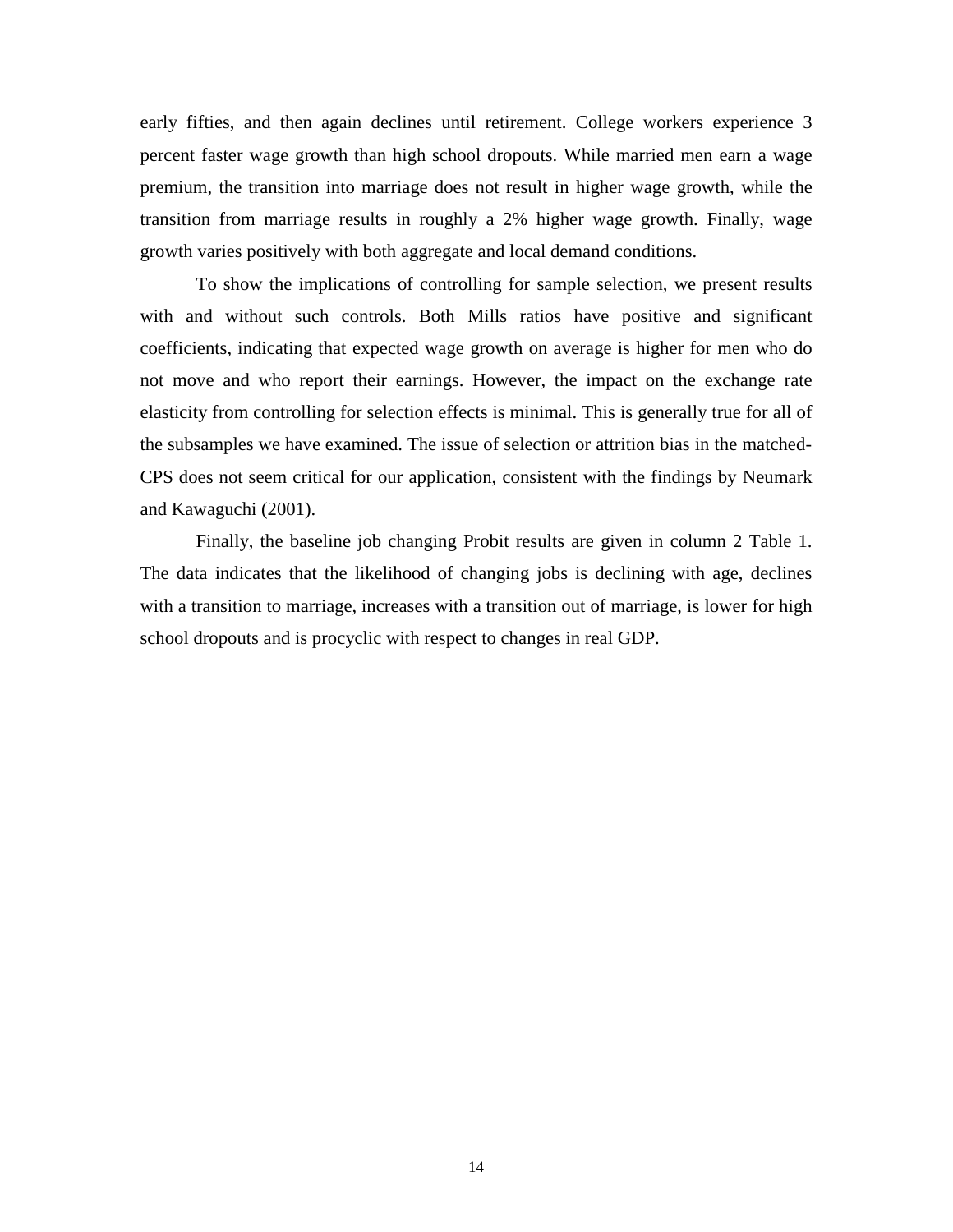early fifties, and then again declines until retirement. College workers experience 3 percent faster wage growth than high school dropouts. While married men earn a wage premium, the transition into marriage does not result in higher wage growth, while the transition from marriage results in roughly a 2% higher wage growth. Finally, wage growth varies positively with both aggregate and local demand conditions.

To show the implications of controlling for sample selection, we present results with and without such controls. Both Mills ratios have positive and significant coefficients, indicating that expected wage growth on average is higher for men who do not move and who report their earnings. However, the impact on the exchange rate elasticity from controlling for selection effects is minimal. This is generally true for all of the subsamples we have examined. The issue of selection or attrition bias in the matched-CPS does not seem critical for our application, consistent with the findings by Neumark and Kawaguchi (2001).

Finally, the baseline job changing Probit results are given in column 2 Table 1. The data indicates that the likelihood of changing jobs is declining with age, declines with a transition to marriage, increases with a transition out of marriage, is lower for high school dropouts and is procyclic with respect to changes in real GDP.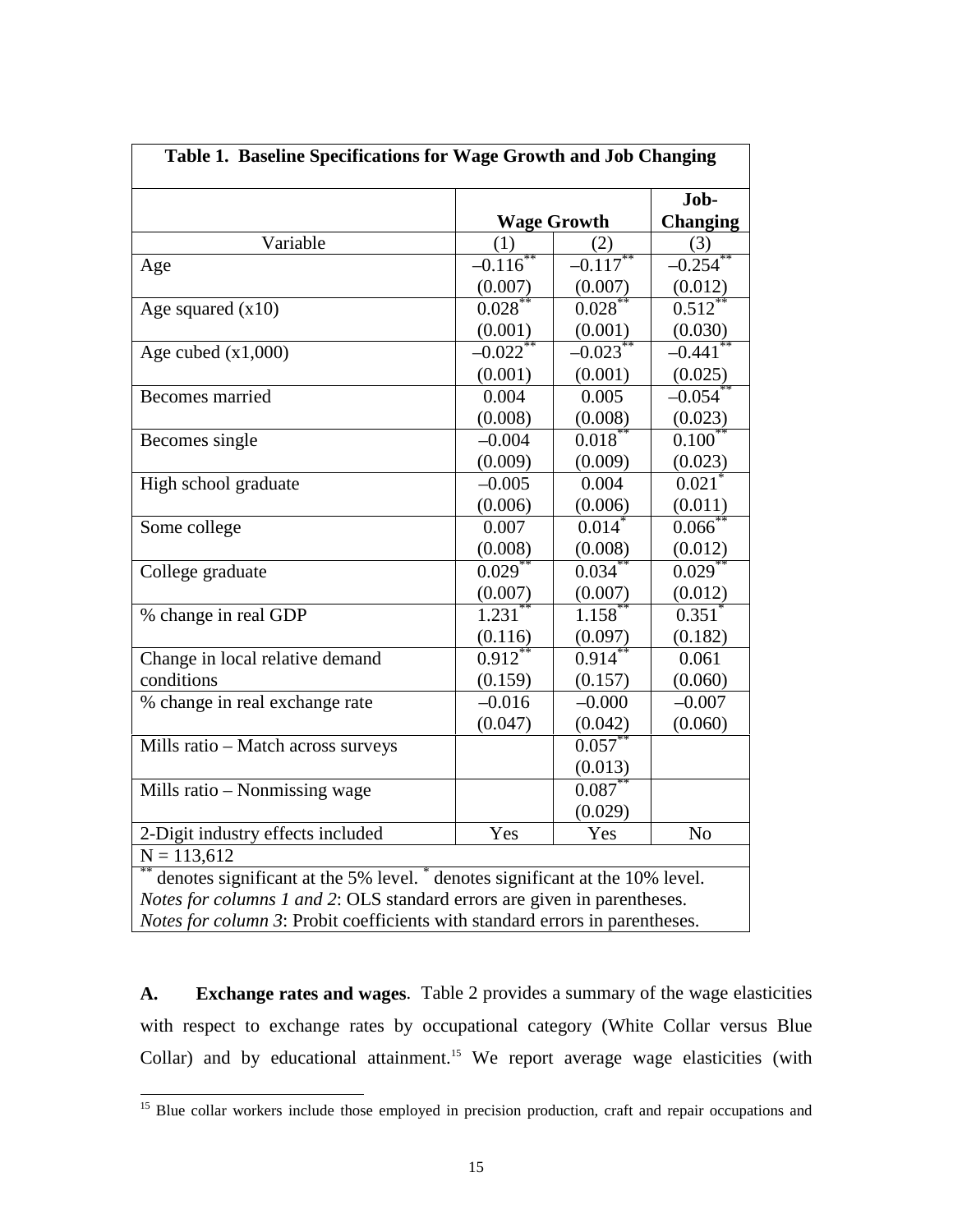| Table 1. Baseline Specifications for Wage Growth and Job Changing                       |                       |                       |                         |  |
|-----------------------------------------------------------------------------------------|-----------------------|-----------------------|-------------------------|--|
|                                                                                         | <b>Wage Growth</b>    |                       | Job-<br><b>Changing</b> |  |
| Variable                                                                                | (1)<br>(2)            |                       | (3)                     |  |
| Age                                                                                     | $-0.116^*$            | $-0.117^{**}$         | $-0.254$ <sup>*</sup>   |  |
|                                                                                         | (0.007)               | (0.007)               | (0.012)                 |  |
| Age squared $(x10)$                                                                     | $0.028$ **            | 0.028                 | $0.512$ *               |  |
|                                                                                         | (0.001)               | (0.001)               | (0.030)                 |  |
| Age cubed $(x1,000)$                                                                    | $-0.022$ <sup>*</sup> | $-0.023$ <sup>*</sup> | $-0.441$                |  |
|                                                                                         | (0.001)               | (0.001)               | (0.025)                 |  |
| Becomes married                                                                         | 0.004                 | 0.005                 | $-0.054$                |  |
|                                                                                         | (0.008)               | (0.008)               | (0.023)                 |  |
| Becomes single                                                                          | $-0.004$              | 0.018                 | $0.100^*$               |  |
|                                                                                         | (0.009)               | (0.009)               | (0.023)                 |  |
| High school graduate                                                                    | $-0.005$              | 0.004                 | $0.021$ <sup>*</sup>    |  |
|                                                                                         | (0.006)               | (0.006)               | (0.011)                 |  |
| Some college                                                                            | 0.007                 | 0.014                 | 0.066                   |  |
|                                                                                         | (0.008)               | (0.008)               | (0.012)                 |  |
| College graduate                                                                        | 0.029                 | 0.034                 | 0.029                   |  |
|                                                                                         | (0.007)               | (0.007)               | (0.012)                 |  |
| % change in real GDP                                                                    | $1.231***$            | $1.158$ **            | $0.351$ <sup>*</sup>    |  |
|                                                                                         | (0.116)               | (0.097)               | (0.182)                 |  |
| Change in local relative demand                                                         | $0.912$ <sup>*</sup>  | $0.914$ <sup>*</sup>  | 0.061                   |  |
| conditions                                                                              | (0.159)               | (0.157)               | (0.060)                 |  |
| % change in real exchange rate                                                          | $-0.016$              | $-0.000$              | $-0.007$                |  |
|                                                                                         | (0.047)               | (0.042)               | (0.060)                 |  |
| Mills ratio - Match across surveys                                                      |                       | $0.057^{**}$          |                         |  |
|                                                                                         |                       | (0.013)               |                         |  |
| Mills ratio – Nonmissing wage                                                           |                       | 0.087                 |                         |  |
|                                                                                         |                       | (0.029)               |                         |  |
| 2-Digit industry effects included                                                       | Yes                   | Yes                   | N <sub>o</sub>          |  |
| $N = 113,612$                                                                           |                       |                       |                         |  |
| denotes significant at the 5% level. <sup>*</sup> denotes significant at the 10% level. |                       |                       |                         |  |
| Notes for columns 1 and 2: OLS standard errors are given in parentheses.                |                       |                       |                         |  |
| Notes for column 3: Probit coefficients with standard errors in parentheses.            |                       |                       |                         |  |

**A. Exchange rates and wages**. Table 2 provides a summary of the wage elasticities with respect to exchange rates by occupational category (White Collar versus Blue Collar) and by educational attainment.15 We report average wage elasticities (with

<sup>&</sup>lt;sup>15</sup> Blue collar workers include those employed in precision production, craft and repair occupations and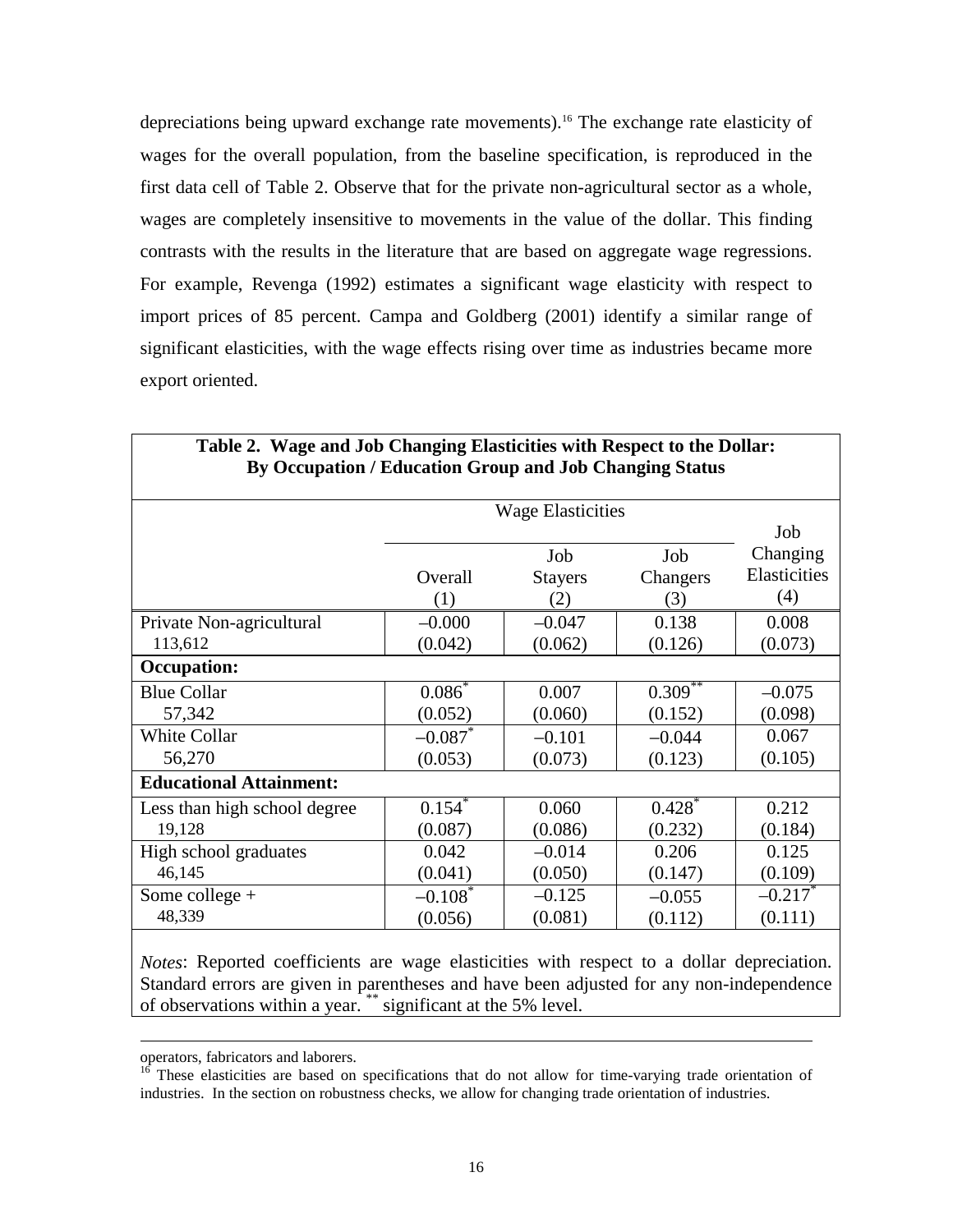depreciations being upward exchange rate movements).16 The exchange rate elasticity of wages for the overall population, from the baseline specification, is reproduced in the first data cell of Table 2. Observe that for the private non-agricultural sector as a whole, wages are completely insensitive to movements in the value of the dollar. This finding contrasts with the results in the literature that are based on aggregate wage regressions. For example, Revenga (1992) estimates a significant wage elasticity with respect to import prices of 85 percent. Campa and Goldberg (2001) identify a similar range of significant elasticities, with the wage effects rising over time as industries became more export oriented.

|                                | <b>Wage Elasticities</b> |                              |                        | Job                             |
|--------------------------------|--------------------------|------------------------------|------------------------|---------------------------------|
|                                | Overall<br>(1)           | Job<br><b>Stayers</b><br>(2) | Job<br>Changers<br>(3) | Changing<br>Elasticities<br>(4) |
| Private Non-agricultural       | $-0.000$                 | $-0.047$                     | 0.138                  | 0.008                           |
| 113,612                        | (0.042)                  | (0.062)                      | (0.126)                | (0.073)                         |
| <b>Occupation:</b>             |                          |                              |                        |                                 |
| <b>Blue Collar</b>             | $0.086^*$                | 0.007                        | $0.309***$             | $-0.075$                        |
| 57,342                         | (0.052)                  | (0.060)                      | (0.152)                | (0.098)                         |
| White Collar                   | $-0.087$ *               | $-0.101$                     | $-0.044$               | 0.067                           |
| 56,270                         | (0.053)                  | (0.073)                      | (0.123)                | (0.105)                         |
| <b>Educational Attainment:</b> |                          |                              |                        |                                 |
| Less than high school degree   | 0.154                    | 0.060                        | 0.428                  | 0.212                           |
| 19,128                         | (0.087)                  | (0.086)                      | (0.232)                | (0.184)                         |
| High school graduates          | 0.042                    | $-0.014$                     | 0.206                  | 0.125                           |
| 46,145                         | (0.041)                  | (0.050)                      | (0.147)                | (0.109)                         |
| Some college $+$               | $-0.108$ <sup>*</sup>    | $-0.125$                     | $-0.055$               | $-0.217$ <sup>*</sup>           |
| 48,339                         | (0.056)                  | (0.081)                      | (0.112)                | (0.111)                         |

# **Table 2. Wage and Job Changing Elasticities with Respect to the Dollar: By Occupation / Education Group and Job Changing Status**

*Notes*: Reported coefficients are wage elasticities with respect to a dollar depreciation. Standard errors are given in parentheses and have been adjusted for any non-independence of observations within a year. \*\* significant at the 5% level.

operators, fabricators and laborers.

 $16$  These elasticities are based on specifications that do not allow for time-varying trade orientation of industries. In the section on robustness checks, we allow for changing trade orientation of industries.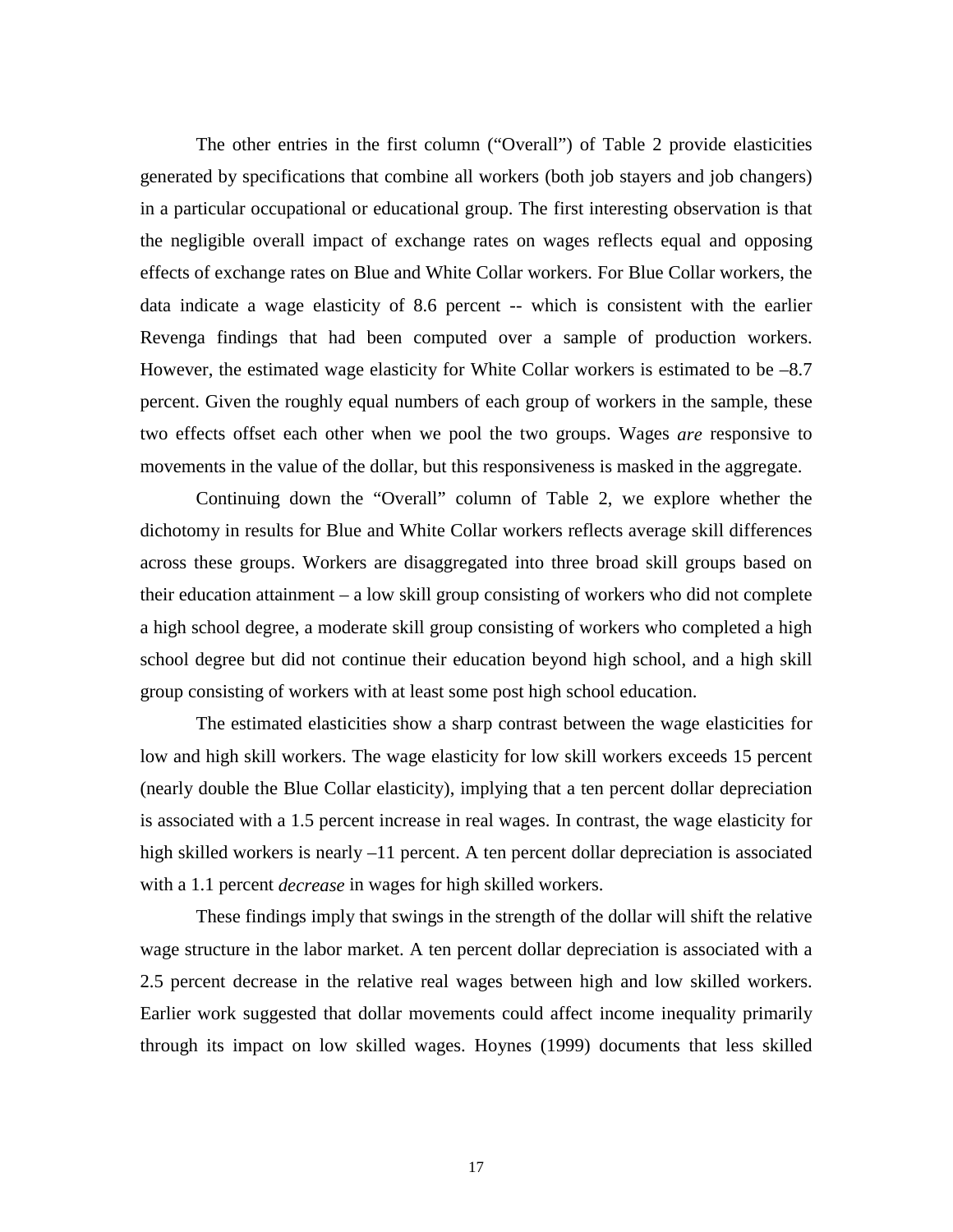The other entries in the first column ("Overall") of Table 2 provide elasticities generated by specifications that combine all workers (both job stayers and job changers) in a particular occupational or educational group. The first interesting observation is that the negligible overall impact of exchange rates on wages reflects equal and opposing effects of exchange rates on Blue and White Collar workers. For Blue Collar workers, the data indicate a wage elasticity of 8.6 percent -- which is consistent with the earlier Revenga findings that had been computed over a sample of production workers. However, the estimated wage elasticity for White Collar workers is estimated to be  $-8.7$ percent. Given the roughly equal numbers of each group of workers in the sample, these two effects offset each other when we pool the two groups. Wages *are* responsive to movements in the value of the dollar, but this responsiveness is masked in the aggregate.

Continuing down the "Overall" column of Table 2, we explore whether the dichotomy in results for Blue and White Collar workers reflects average skill differences across these groups. Workers are disaggregated into three broad skill groups based on their education attainment – a low skill group consisting of workers who did not complete a high school degree, a moderate skill group consisting of workers who completed a high school degree but did not continue their education beyond high school, and a high skill group consisting of workers with at least some post high school education.

The estimated elasticities show a sharp contrast between the wage elasticities for low and high skill workers. The wage elasticity for low skill workers exceeds 15 percent (nearly double the Blue Collar elasticity), implying that a ten percent dollar depreciation is associated with a 1.5 percent increase in real wages. In contrast, the wage elasticity for high skilled workers is nearly  $-11$  percent. A ten percent dollar depreciation is associated with a 1.1 percent *decrease* in wages for high skilled workers.

These findings imply that swings in the strength of the dollar will shift the relative wage structure in the labor market. A ten percent dollar depreciation is associated with a 2.5 percent decrease in the relative real wages between high and low skilled workers. Earlier work suggested that dollar movements could affect income inequality primarily through its impact on low skilled wages. Hoynes (1999) documents that less skilled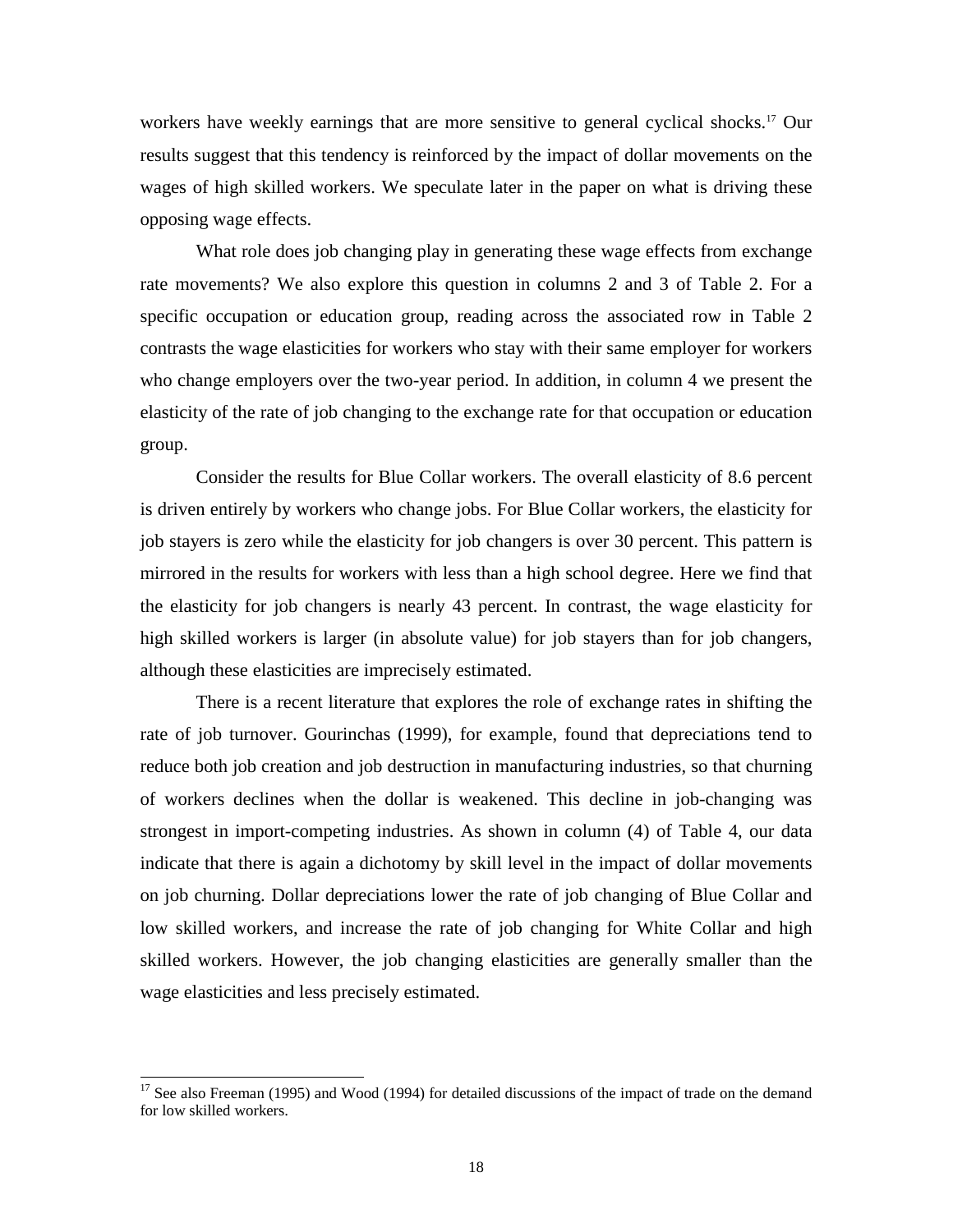workers have weekly earnings that are more sensitive to general cyclical shocks.<sup>17</sup> Our results suggest that this tendency is reinforced by the impact of dollar movements on the wages of high skilled workers. We speculate later in the paper on what is driving these opposing wage effects.

What role does job changing play in generating these wage effects from exchange rate movements? We also explore this question in columns 2 and 3 of Table 2. For a specific occupation or education group, reading across the associated row in Table 2 contrasts the wage elasticities for workers who stay with their same employer for workers who change employers over the two-year period. In addition, in column 4 we present the elasticity of the rate of job changing to the exchange rate for that occupation or education group.

Consider the results for Blue Collar workers. The overall elasticity of 8.6 percent is driven entirely by workers who change jobs. For Blue Collar workers, the elasticity for job stayers is zero while the elasticity for job changers is over 30 percent. This pattern is mirrored in the results for workers with less than a high school degree. Here we find that the elasticity for job changers is nearly 43 percent. In contrast, the wage elasticity for high skilled workers is larger (in absolute value) for job stayers than for job changers, although these elasticities are imprecisely estimated.

There is a recent literature that explores the role of exchange rates in shifting the rate of job turnover. Gourinchas (1999), for example, found that depreciations tend to reduce both job creation and job destruction in manufacturing industries, so that churning of workers declines when the dollar is weakened. This decline in job-changing was strongest in import-competing industries. As shown in column (4) of Table 4, our data indicate that there is again a dichotomy by skill level in the impact of dollar movements on job churning. Dollar depreciations lower the rate of job changing of Blue Collar and low skilled workers, and increase the rate of job changing for White Collar and high skilled workers. However, the job changing elasticities are generally smaller than the wage elasticities and less precisely estimated.

 $17$  See also Freeman (1995) and Wood (1994) for detailed discussions of the impact of trade on the demand for low skilled workers.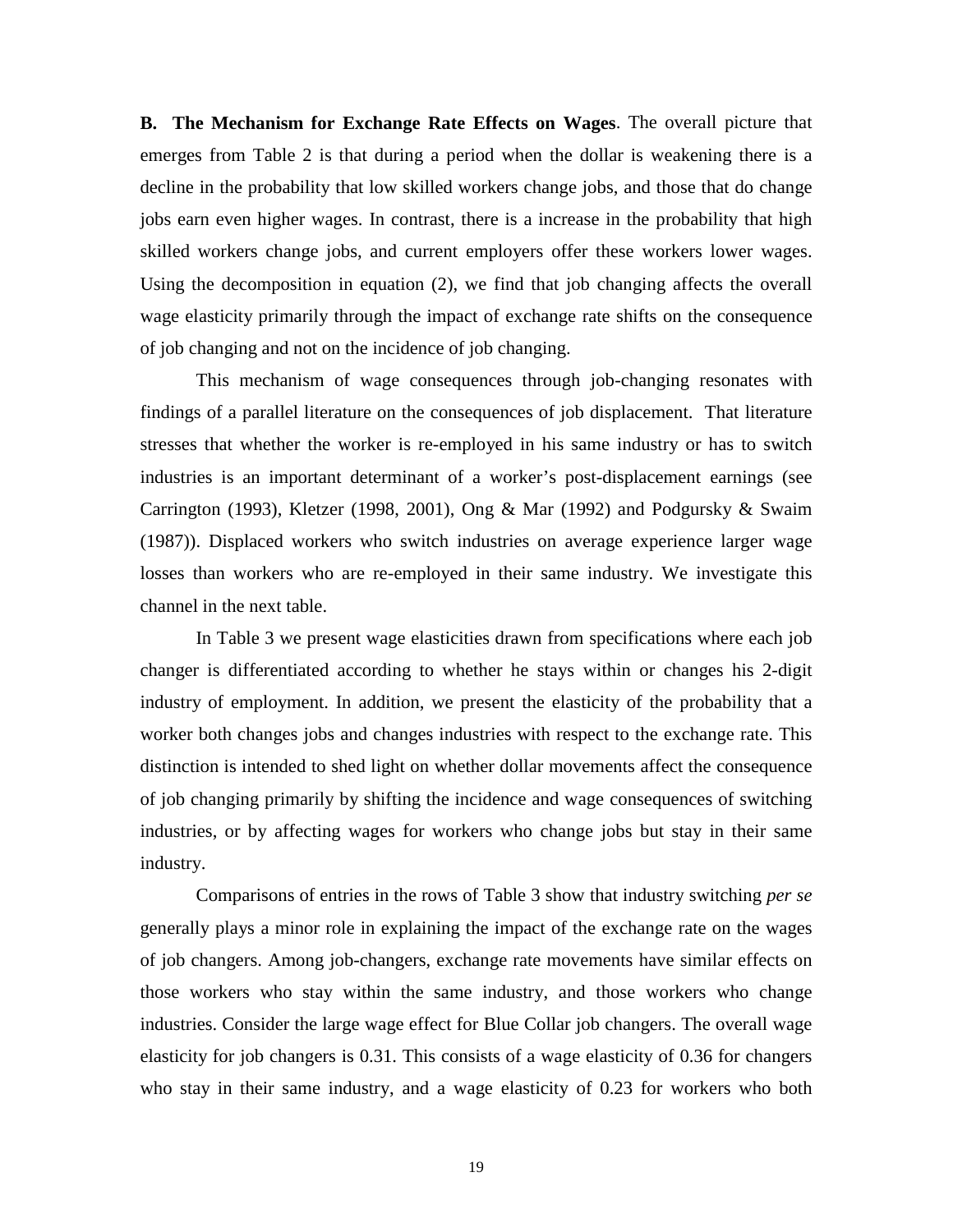**B. The Mechanism for Exchange Rate Effects on Wages**. The overall picture that emerges from Table 2 is that during a period when the dollar is weakening there is a decline in the probability that low skilled workers change jobs, and those that do change jobs earn even higher wages. In contrast, there is a increase in the probability that high skilled workers change jobs, and current employers offer these workers lower wages. Using the decomposition in equation (2), we find that job changing affects the overall wage elasticity primarily through the impact of exchange rate shifts on the consequence of job changing and not on the incidence of job changing.

This mechanism of wage consequences through job-changing resonates with findings of a parallel literature on the consequences of job displacement. That literature stresses that whether the worker is re-employed in his same industry or has to switch industries is an important determinant of a worker's post-displacement earnings (see Carrington (1993), Kletzer (1998, 2001), Ong & Mar (1992) and Podgursky & Swaim (1987)). Displaced workers who switch industries on average experience larger wage losses than workers who are re-employed in their same industry. We investigate this channel in the next table.

In Table 3 we present wage elasticities drawn from specifications where each job changer is differentiated according to whether he stays within or changes his 2-digit industry of employment. In addition, we present the elasticity of the probability that a worker both changes jobs and changes industries with respect to the exchange rate. This distinction is intended to shed light on whether dollar movements affect the consequence of job changing primarily by shifting the incidence and wage consequences of switching industries, or by affecting wages for workers who change jobs but stay in their same industry.

Comparisons of entries in the rows of Table 3 show that industry switching *per se* generally plays a minor role in explaining the impact of the exchange rate on the wages of job changers. Among job-changers, exchange rate movements have similar effects on those workers who stay within the same industry, and those workers who change industries. Consider the large wage effect for Blue Collar job changers. The overall wage elasticity for job changers is 0.31. This consists of a wage elasticity of 0.36 for changers who stay in their same industry, and a wage elasticity of 0.23 for workers who both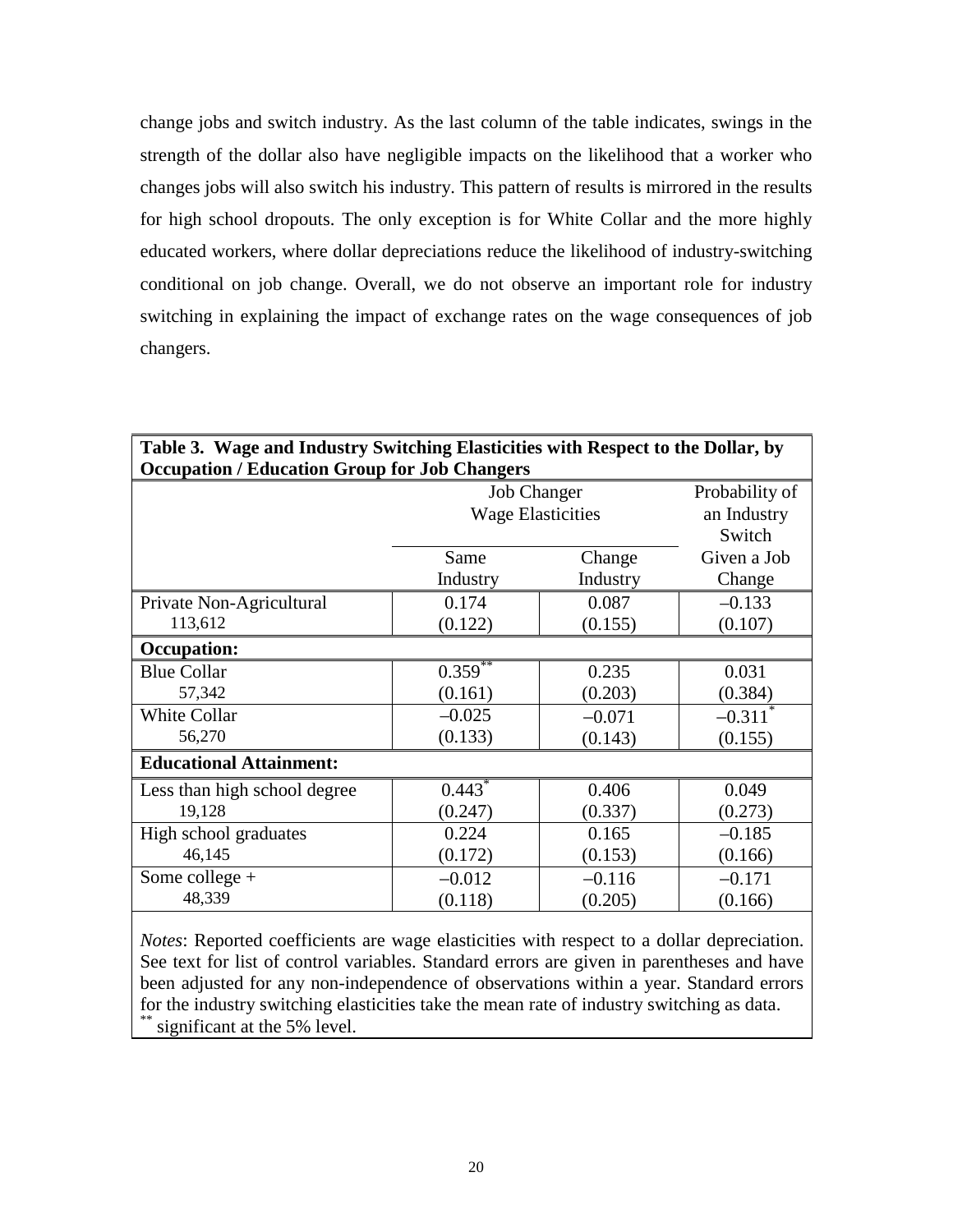change jobs and switch industry. As the last column of the table indicates, swings in the strength of the dollar also have negligible impacts on the likelihood that a worker who changes jobs will also switch his industry. This pattern of results is mirrored in the results for high school dropouts. The only exception is for White Collar and the more highly educated workers, where dollar depreciations reduce the likelihood of industry-switching conditional on job change. Overall, we do not observe an important role for industry switching in explaining the impact of exchange rates on the wage consequences of job changers.

| Occupation / Luucation Group for 000 Changers | <b>Job Changer</b>       | Probability of |                       |
|-----------------------------------------------|--------------------------|----------------|-----------------------|
|                                               | <b>Wage Elasticities</b> |                | an Industry           |
|                                               |                          |                | Switch                |
|                                               | Same                     | Change         | Given a Job           |
|                                               | Industry                 | Industry       | Change                |
| Private Non-Agricultural                      | 0.174                    | 0.087          | $-0.133$              |
| 113,612                                       | (0.122)                  | (0.155)        | (0.107)               |
| <b>Occupation:</b>                            |                          |                |                       |
| <b>Blue Collar</b>                            | $0.359***$               | 0.235          | 0.031                 |
| 57,342                                        | (0.161)                  | (0.203)        | (0.384)               |
| White Collar                                  | $-0.025$                 | $-0.071$       | $-0.311$ <sup>*</sup> |
| 56,270                                        | (0.133)                  | (0.143)        | (0.155)               |
| <b>Educational Attainment:</b>                |                          |                |                       |
| Less than high school degree                  | $0.443*$                 | 0.406          | 0.049                 |
| 19,128                                        | (0.247)                  | (0.337)        | (0.273)               |
| High school graduates                         | 0.224                    | 0.165          | $-0.185$              |
| 46,145                                        | (0.172)                  | (0.153)        | (0.166)               |
| Some college $+$                              | $-0.012$                 | $-0.116$       | $-0.171$              |
| 48,339                                        | (0.118)                  | (0.205)        | (0.166)               |

# **Table 3. Wage and Industry Switching Elasticities with Respect to the Dollar, by Occupation / Education Group for Job Changers**

*Notes*: Reported coefficients are wage elasticities with respect to a dollar depreciation. See text for list of control variables. Standard errors are given in parentheses and have been adjusted for any non-independence of observations within a year. Standard errors for the industry switching elasticities take the mean rate of industry switching as data. significant at the 5% level.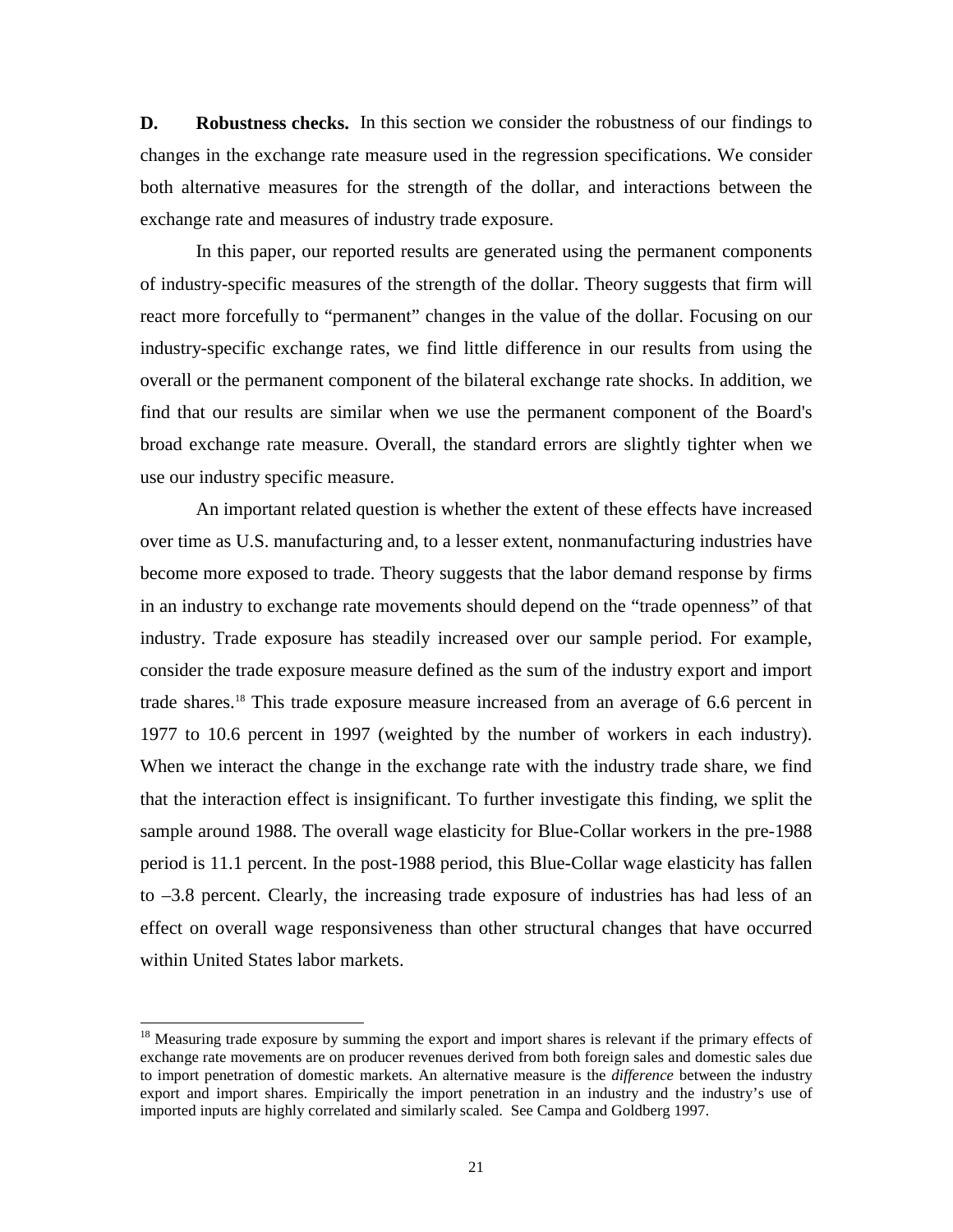**D. Robustness checks.** In this section we consider the robustness of our findings to changes in the exchange rate measure used in the regression specifications. We consider both alternative measures for the strength of the dollar, and interactions between the exchange rate and measures of industry trade exposure.

In this paper, our reported results are generated using the permanent components of industry-specific measures of the strength of the dollar. Theory suggests that firm will react more forcefully to "permanent" changes in the value of the dollar. Focusing on our industry-specific exchange rates, we find little difference in our results from using the overall or the permanent component of the bilateral exchange rate shocks. In addition, we find that our results are similar when we use the permanent component of the Board's broad exchange rate measure. Overall, the standard errors are slightly tighter when we use our industry specific measure.

An important related question is whether the extent of these effects have increased over time as U.S. manufacturing and, to a lesser extent, nonmanufacturing industries have become more exposed to trade. Theory suggests that the labor demand response by firms in an industry to exchange rate movements should depend on the "trade openness" of that industry. Trade exposure has steadily increased over our sample period. For example, consider the trade exposure measure defined as the sum of the industry export and import trade shares.18 This trade exposure measure increased from an average of 6.6 percent in 1977 to 10.6 percent in 1997 (weighted by the number of workers in each industry). When we interact the change in the exchange rate with the industry trade share, we find that the interaction effect is insignificant. To further investigate this finding, we split the sample around 1988. The overall wage elasticity for Blue-Collar workers in the pre-1988 period is 11.1 percent. In the post-1988 period, this Blue-Collar wage elasticity has fallen to –3.8 percent. Clearly, the increasing trade exposure of industries has had less of an effect on overall wage responsiveness than other structural changes that have occurred within United States labor markets.

<sup>&</sup>lt;sup>18</sup> Measuring trade exposure by summing the export and import shares is relevant if the primary effects of exchange rate movements are on producer revenues derived from both foreign sales and domestic sales due to import penetration of domestic markets. An alternative measure is the *difference* between the industry export and import shares. Empirically the import penetration in an industry and the industry's use of imported inputs are highly correlated and similarly scaled. See Campa and Goldberg 1997.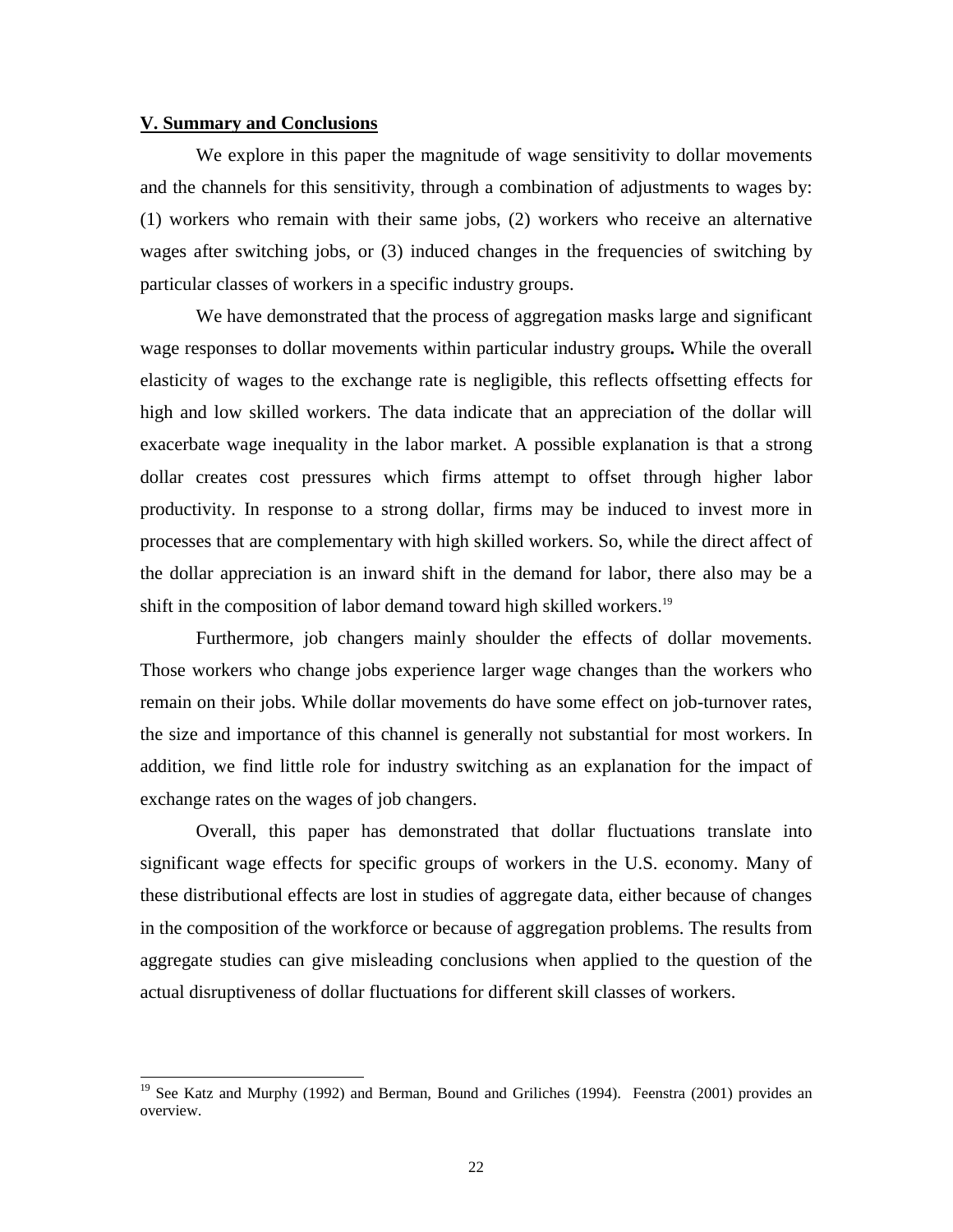#### **V. Summary and Conclusions**

 $\overline{a}$ 

We explore in this paper the magnitude of wage sensitivity to dollar movements and the channels for this sensitivity, through a combination of adjustments to wages by: (1) workers who remain with their same jobs, (2) workers who receive an alternative wages after switching jobs, or (3) induced changes in the frequencies of switching by particular classes of workers in a specific industry groups.

We have demonstrated that the process of aggregation masks large and significant wage responses to dollar movements within particular industry groups*.* While the overall elasticity of wages to the exchange rate is negligible, this reflects offsetting effects for high and low skilled workers. The data indicate that an appreciation of the dollar will exacerbate wage inequality in the labor market. A possible explanation is that a strong dollar creates cost pressures which firms attempt to offset through higher labor productivity. In response to a strong dollar, firms may be induced to invest more in processes that are complementary with high skilled workers. So, while the direct affect of the dollar appreciation is an inward shift in the demand for labor, there also may be a shift in the composition of labor demand toward high skilled workers.<sup>19</sup>

Furthermore, job changers mainly shoulder the effects of dollar movements. Those workers who change jobs experience larger wage changes than the workers who remain on their jobs. While dollar movements do have some effect on job-turnover rates, the size and importance of this channel is generally not substantial for most workers. In addition, we find little role for industry switching as an explanation for the impact of exchange rates on the wages of job changers.

Overall, this paper has demonstrated that dollar fluctuations translate into significant wage effects for specific groups of workers in the U.S. economy. Many of these distributional effects are lost in studies of aggregate data, either because of changes in the composition of the workforce or because of aggregation problems. The results from aggregate studies can give misleading conclusions when applied to the question of the actual disruptiveness of dollar fluctuations for different skill classes of workers.

<sup>&</sup>lt;sup>19</sup> See Katz and Murphy (1992) and Berman, Bound and Griliches (1994). Feenstra (2001) provides an overview.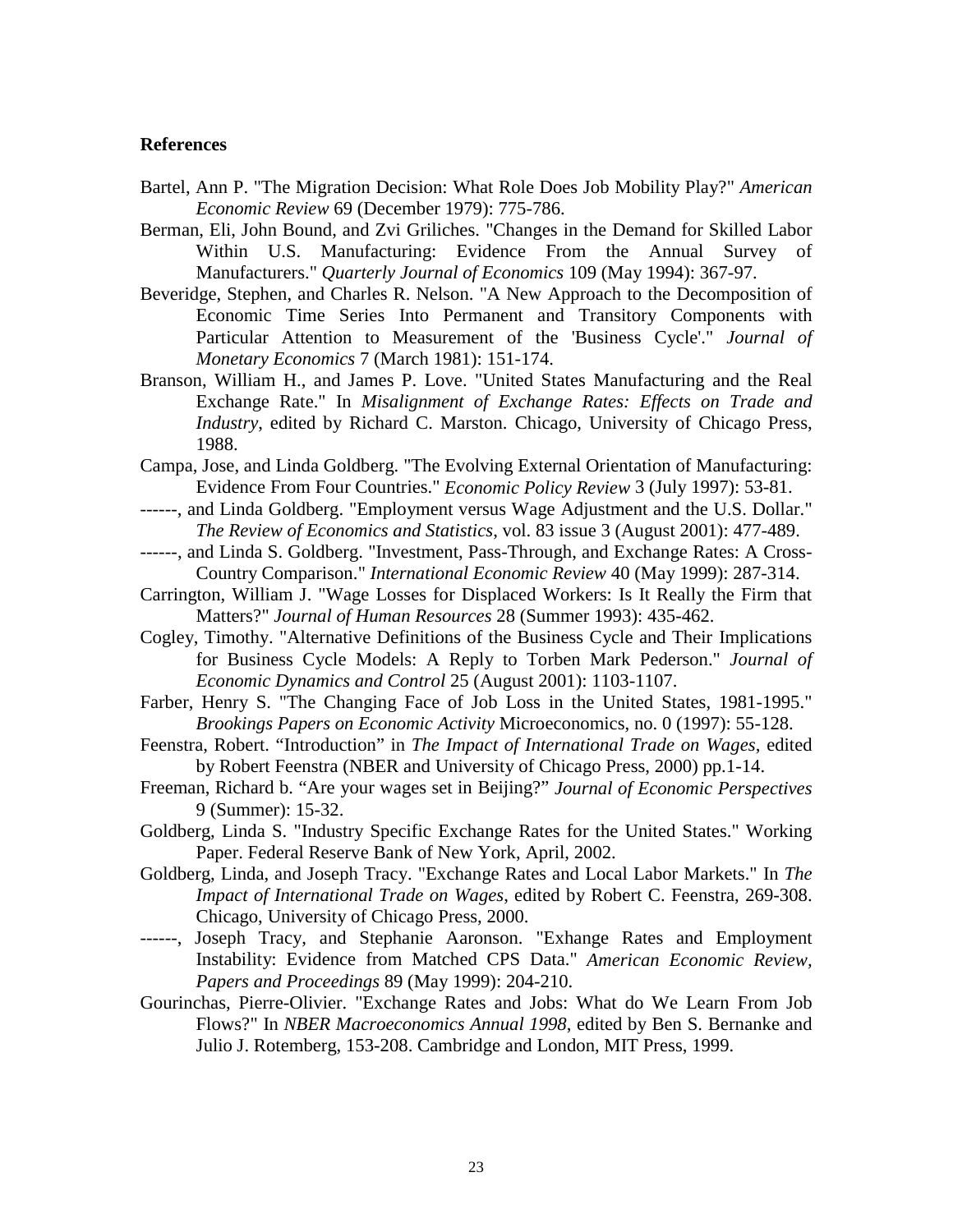## **References**

- Bartel, Ann P. "The Migration Decision: What Role Does Job Mobility Play?" *American Economic Review* 69 (December 1979): 775-786.
- Berman, Eli, John Bound, and Zvi Griliches. "Changes in the Demand for Skilled Labor Within U.S. Manufacturing: Evidence From the Annual Survey of Manufacturers." *Quarterly Journal of Economics* 109 (May 1994): 367-97.
- Beveridge, Stephen, and Charles R. Nelson. "A New Approach to the Decomposition of Economic Time Series Into Permanent and Transitory Components with Particular Attention to Measurement of the 'Business Cycle'." *Journal of Monetary Economics* 7 (March 1981): 151-174.
- Branson, William H., and James P. Love. "United States Manufacturing and the Real Exchange Rate." In *Misalignment of Exchange Rates: Effects on Trade and Industry*, edited by Richard C. Marston. Chicago, University of Chicago Press, 1988.
- Campa, Jose, and Linda Goldberg. "The Evolving External Orientation of Manufacturing: Evidence From Four Countries." *Economic Policy Review* 3 (July 1997): 53-81.
- ------, and Linda Goldberg. "Employment versus Wage Adjustment and the U.S. Dollar." *The Review of Economics and Statistics*, vol. 83 issue 3 (August 2001): 477-489.
- ------, and Linda S. Goldberg. "Investment, Pass-Through, and Exchange Rates: A Cross-Country Comparison." *International Economic Review* 40 (May 1999): 287-314.
- Carrington, William J. "Wage Losses for Displaced Workers: Is It Really the Firm that Matters?" *Journal of Human Resources* 28 (Summer 1993): 435-462.
- Cogley, Timothy. "Alternative Definitions of the Business Cycle and Their Implications for Business Cycle Models: A Reply to Torben Mark Pederson." *Journal of Economic Dynamics and Control* 25 (August 2001): 1103-1107.
- Farber, Henry S. "The Changing Face of Job Loss in the United States, 1981-1995." *Brookings Papers on Economic Activity* Microeconomics, no. 0 (1997): 55-128.
- Feenstra, Robert. "Introduction" in *The Impact of International Trade on Wages*, edited by Robert Feenstra (NBER and University of Chicago Press, 2000) pp.1-14.
- Freeman, Richard b. "Are your wages set in Beijing?" *Journal of Economic Perspectives* 9 (Summer): 15-32.
- Goldberg, Linda S. "Industry Specific Exchange Rates for the United States." Working Paper. Federal Reserve Bank of New York, April, 2002.
- Goldberg, Linda, and Joseph Tracy. "Exchange Rates and Local Labor Markets." In *The Impact of International Trade on Wages*, edited by Robert C. Feenstra, 269-308. Chicago, University of Chicago Press, 2000.
- ------, Joseph Tracy, and Stephanie Aaronson. "Exhange Rates and Employment Instability: Evidence from Matched CPS Data." *American Economic Review, Papers and Proceedings* 89 (May 1999): 204-210.
- Gourinchas, Pierre-Olivier. "Exchange Rates and Jobs: What do We Learn From Job Flows?" In *NBER Macroeconomics Annual 1998*, edited by Ben S. Bernanke and Julio J. Rotemberg, 153-208. Cambridge and London, MIT Press, 1999.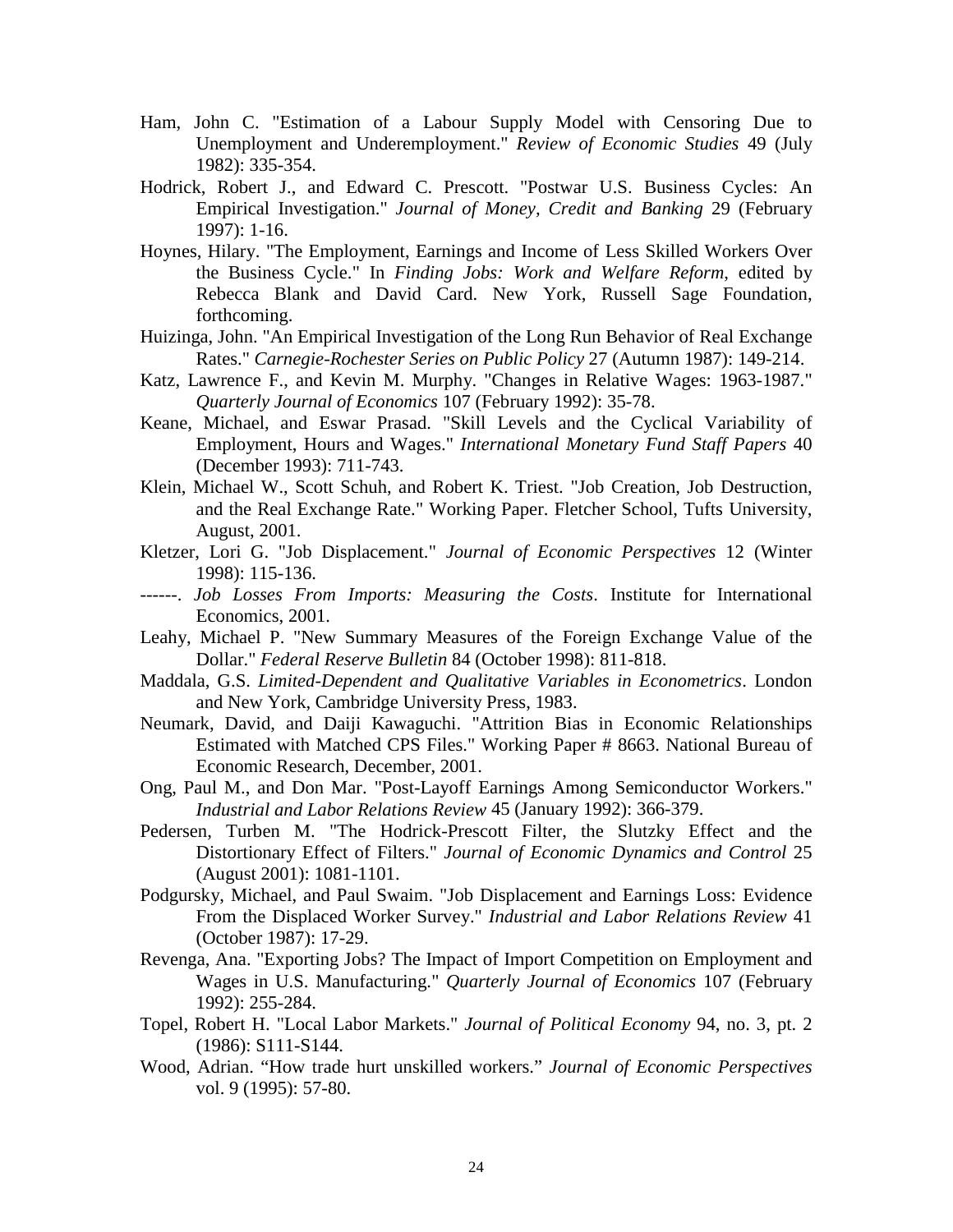- Ham, John C. "Estimation of a Labour Supply Model with Censoring Due to Unemployment and Underemployment." *Review of Economic Studies* 49 (July 1982): 335-354.
- Hodrick, Robert J., and Edward C. Prescott. "Postwar U.S. Business Cycles: An Empirical Investigation." *Journal of Money, Credit and Banking* 29 (February 1997): 1-16.
- Hoynes, Hilary. "The Employment, Earnings and Income of Less Skilled Workers Over the Business Cycle." In *Finding Jobs: Work and Welfare Reform*, edited by Rebecca Blank and David Card. New York, Russell Sage Foundation, forthcoming.
- Huizinga, John. "An Empirical Investigation of the Long Run Behavior of Real Exchange Rates." *Carnegie-Rochester Series on Public Policy* 27 (Autumn 1987): 149-214.
- Katz, Lawrence F., and Kevin M. Murphy. "Changes in Relative Wages: 1963-1987." *Quarterly Journal of Economics* 107 (February 1992): 35-78.
- Keane, Michael, and Eswar Prasad. "Skill Levels and the Cyclical Variability of Employment, Hours and Wages." *International Monetary Fund Staff Papers* 40 (December 1993): 711-743.
- Klein, Michael W., Scott Schuh, and Robert K. Triest. "Job Creation, Job Destruction, and the Real Exchange Rate." Working Paper. Fletcher School, Tufts University, August, 2001.
- Kletzer, Lori G. "Job Displacement." *Journal of Economic Perspectives* 12 (Winter 1998): 115-136.
- ------. *Job Losses From Imports: Measuring the Costs*. Institute for International Economics, 2001.
- Leahy, Michael P. "New Summary Measures of the Foreign Exchange Value of the Dollar." *Federal Reserve Bulletin* 84 (October 1998): 811-818.
- Maddala, G.S. *Limited-Dependent and Qualitative Variables in Econometrics*. London and New York, Cambridge University Press, 1983.
- Neumark, David, and Daiji Kawaguchi. "Attrition Bias in Economic Relationships Estimated with Matched CPS Files." Working Paper # 8663. National Bureau of Economic Research, December, 2001.
- Ong, Paul M., and Don Mar. "Post-Layoff Earnings Among Semiconductor Workers." *Industrial and Labor Relations Review* 45 (January 1992): 366-379.
- Pedersen, Turben M. "The Hodrick-Prescott Filter, the Slutzky Effect and the Distortionary Effect of Filters." *Journal of Economic Dynamics and Control* 25 (August 2001): 1081-1101.
- Podgursky, Michael, and Paul Swaim. "Job Displacement and Earnings Loss: Evidence From the Displaced Worker Survey." *Industrial and Labor Relations Review* 41 (October 1987): 17-29.
- Revenga, Ana. "Exporting Jobs? The Impact of Import Competition on Employment and Wages in U.S. Manufacturing." *Quarterly Journal of Economics* 107 (February 1992): 255-284.
- Topel, Robert H. "Local Labor Markets." *Journal of Political Economy* 94, no. 3, pt. 2 (1986): S111-S144.
- Wood, Adrian. "How trade hurt unskilled workers." *Journal of Economic Perspectives* vol. 9 (1995): 57-80.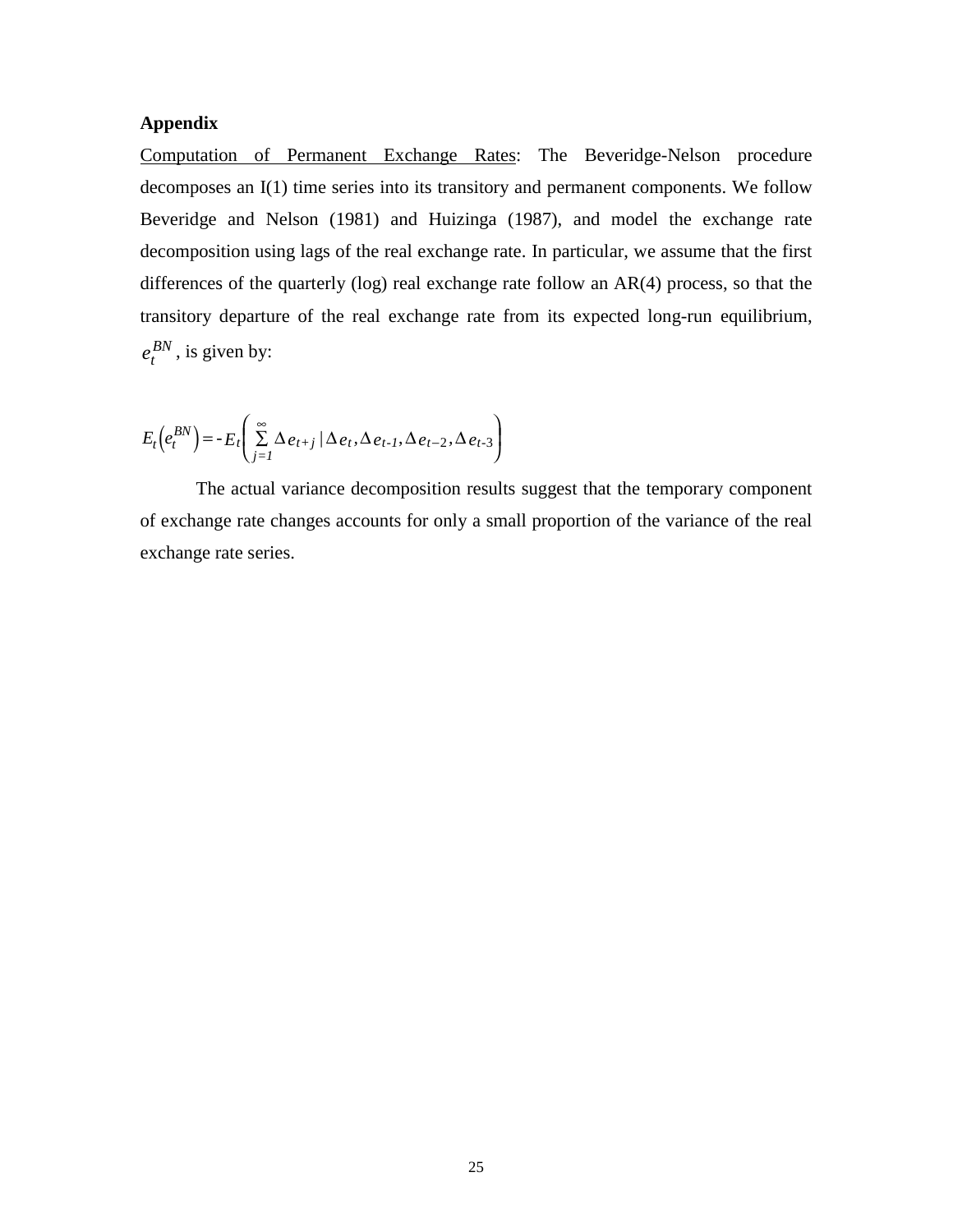## **Appendix**

Computation of Permanent Exchange Rates: The Beveridge-Nelson procedure decomposes an I(1) time series into its transitory and permanent components. We follow Beveridge and Nelson (1981) and Huizinga (1987), and model the exchange rate decomposition using lags of the real exchange rate. In particular, we assume that the first differences of the quarterly (log) real exchange rate follow an AR(4) process, so that the transitory departure of the real exchange rate from its expected long-run equilibrium,  $e_t^{BN}$ , is given by:

$$
E_t\left(e_t^{BN}\right) = -E_t\left(\sum_{j=1}^{\infty} \Delta e_{t+j} / \Delta e_t, \Delta e_{t-1}, \Delta e_{t-2}, \Delta e_{t-3}\right)
$$

The actual variance decomposition results suggest that the temporary component of exchange rate changes accounts for only a small proportion of the variance of the real exchange rate series.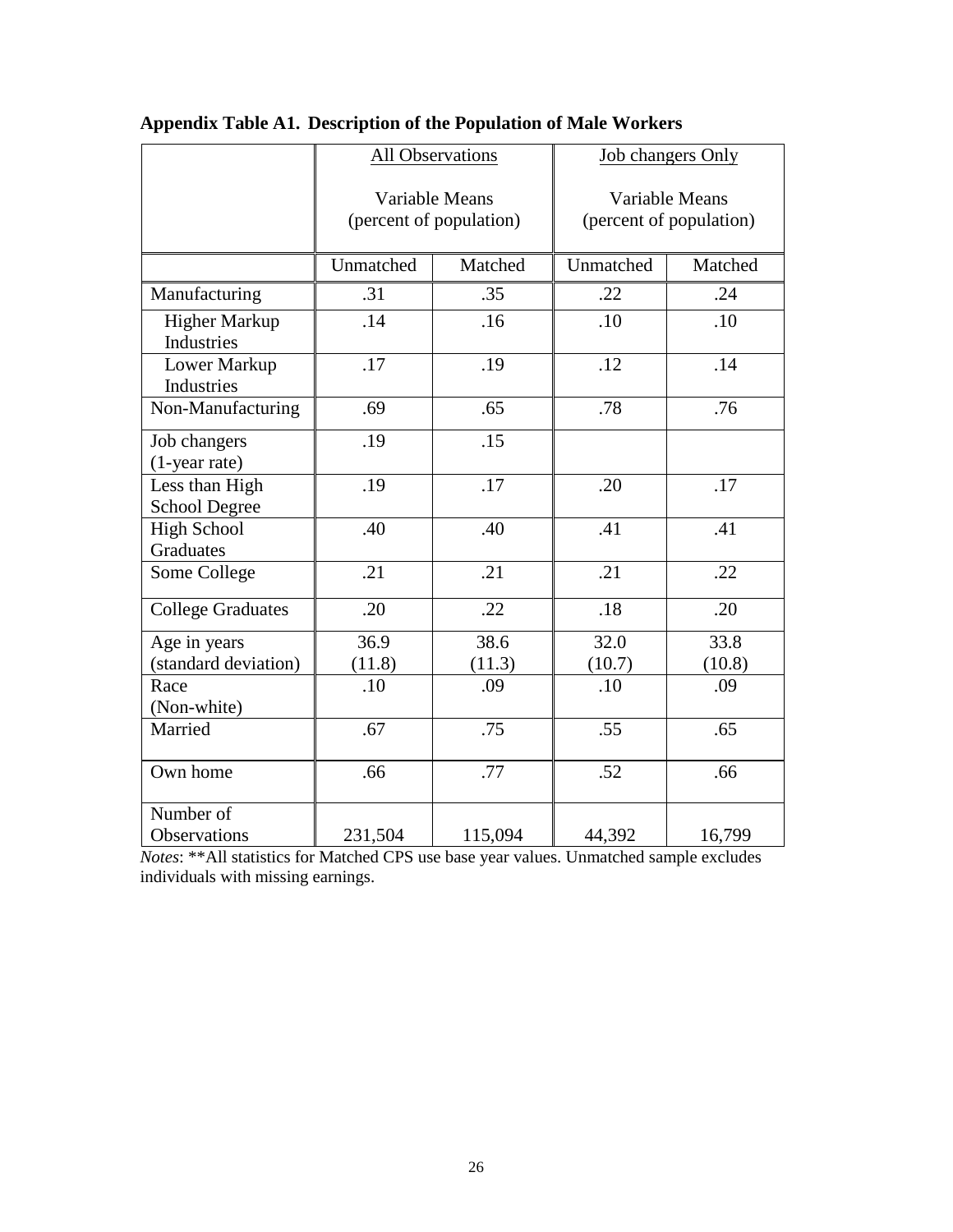|                                        | <b>All Observations</b>                   |                  | <b>Job changers Only</b>                  |         |
|----------------------------------------|-------------------------------------------|------------------|-------------------------------------------|---------|
|                                        | Variable Means<br>(percent of population) |                  | Variable Means<br>(percent of population) |         |
|                                        | Unmatched                                 | Matched          | Unmatched                                 | Matched |
| Manufacturing                          | .31                                       | .35              | .22                                       | .24     |
| Higher Markup<br>Industries            | .14                                       | .16              | .10                                       | .10     |
| Lower Markup<br>Industries             | .17                                       | .19              | .12                                       | .14     |
| Non-Manufacturing                      | .69                                       | .65              | .78                                       | .76     |
| Job changers<br>(1-year rate)          | .19                                       | .15              |                                           |         |
| Less than High<br><b>School Degree</b> | .19                                       | .17              | .20                                       | .17     |
| <b>High School</b><br><b>Graduates</b> | .40                                       | .40              | .41                                       | .41     |
| Some College                           | $\overline{.21}$                          | $\overline{.21}$ | $\overline{.21}$                          | .22     |
| <b>College Graduates</b>               | .20                                       | .22              | .18                                       | .20     |
| Age in years                           | 36.9                                      | 38.6             | 32.0                                      | 33.8    |
| (standard deviation)                   | (11.8)                                    | (11.3)           | (10.7)                                    | (10.8)  |
| Race<br>(Non-white)                    | .10                                       | .09              | .10                                       | .09     |
| Married                                | .67                                       | .75              | .55                                       | .65     |
| Own home                               | .66                                       | .77              | .52                                       | .66     |
| Number of                              |                                           |                  |                                           |         |
| Observations                           | 231,504                                   | 115,094          | 44,392                                    | 16,799  |

# **Appendix Table A1. Description of the Population of Male Workers**

*Notes*: \*\*All statistics for Matched CPS use base year values. Unmatched sample excludes individuals with missing earnings.